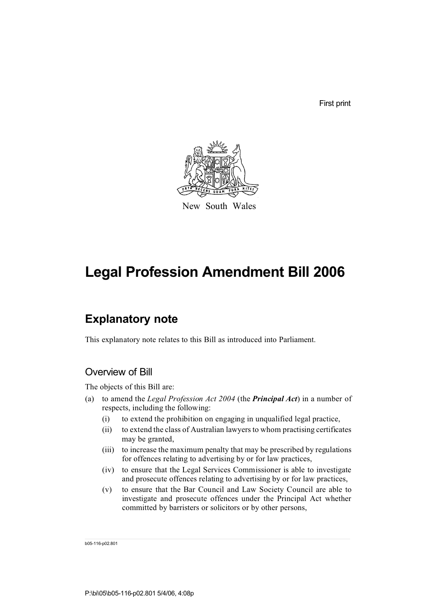First print



New South Wales

# **Legal Profession Amendment Bill 2006**

# **Explanatory note**

This explanatory note relates to this Bill as introduced into Parliament.

# Overview of Bill

The objects of this Bill are:

- (a) to amend the *Legal Profession Act 2004* (the *Principal Act*) in a number of respects, including the following:
	- (i) to extend the prohibition on engaging in unqualified legal practice,
	- (ii) to extend the class of Australian lawyers to whom practising certificates may be granted,
	- (iii) to increase the maximum penalty that may be prescribed by regulations for offences relating to advertising by or for law practices,
	- (iv) to ensure that the Legal Services Commissioner is able to investigate and prosecute offences relating to advertising by or for law practices,
	- (v) to ensure that the Bar Council and Law Society Council are able to investigate and prosecute offences under the Principal Act whether committed by barristers or solicitors or by other persons,

b05-116-p02.801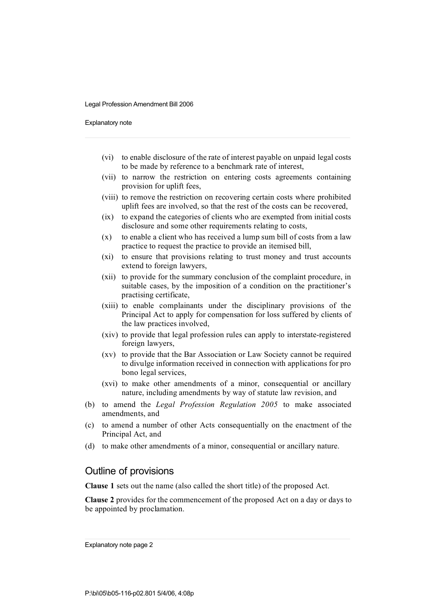Explanatory note

- (vi) to enable disclosure of the rate of interest payable on unpaid legal costs to be made by reference to a benchmark rate of interest,
- (vii) to narrow the restriction on entering costs agreements containing provision for uplift fees,
- (viii) to remove the restriction on recovering certain costs where prohibited uplift fees are involved, so that the rest of the costs can be recovered,
- (ix) to expand the categories of clients who are exempted from initial costs disclosure and some other requirements relating to costs,
- (x) to enable a client who has received a lump sum bill of costs from a law practice to request the practice to provide an itemised bill,
- (xi) to ensure that provisions relating to trust money and trust accounts extend to foreign lawyers,
- (xii) to provide for the summary conclusion of the complaint procedure, in suitable cases, by the imposition of a condition on the practitioner's practising certificate,
- (xiii) to enable complainants under the disciplinary provisions of the Principal Act to apply for compensation for loss suffered by clients of the law practices involved,
- (xiv) to provide that legal profession rules can apply to interstate-registered foreign lawyers,
- (xv) to provide that the Bar Association or Law Society cannot be required to divulge information received in connection with applications for pro bono legal services,
- (xvi) to make other amendments of a minor, consequential or ancillary nature, including amendments by way of statute law revision, and
- (b) to amend the *Legal Profession Regulation 2005* to make associated amendments, and
- (c) to amend a number of other Acts consequentially on the enactment of the Principal Act, and
- (d) to make other amendments of a minor, consequential or ancillary nature.

### Outline of provisions

**Clause 1** sets out the name (also called the short title) of the proposed Act.

**Clause 2** provides for the commencement of the proposed Act on a day or days to be appointed by proclamation.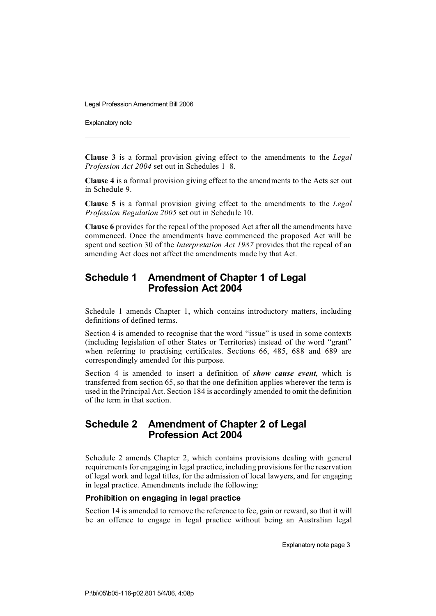Explanatory note

**Clause 3** is a formal provision giving effect to the amendments to the *Legal Profession Act 2004* set out in Schedules 1–8.

**Clause 4** is a formal provision giving effect to the amendments to the Acts set out in Schedule 9.

**Clause 5** is a formal provision giving effect to the amendments to the *Legal Profession Regulation 2005* set out in Schedule 10.

**Clause 6** provides for the repeal of the proposed Act after all the amendments have commenced. Once the amendments have commenced the proposed Act will be spent and section 30 of the *Interpretation Act 1987* provides that the repeal of an amending Act does not affect the amendments made by that Act.

# **Schedule 1 Amendment of Chapter 1 of Legal Profession Act 2004**

Schedule 1 amends Chapter 1, which contains introductory matters, including definitions of defined terms.

Section 4 is amended to recognise that the word "issue" is used in some contexts (including legislation of other States or Territories) instead of the word "grant" when referring to practising certificates. Sections 66, 485, 688 and 689 are correspondingly amended for this purpose.

Section 4 is amended to insert a definition of *show cause event*, which is transferred from section 65, so that the one definition applies wherever the term is used in the Principal Act. Section 184 is accordingly amended to omit the definition of the term in that section.

### **Schedule 2 Amendment of Chapter 2 of Legal Profession Act 2004**

Schedule 2 amends Chapter 2, which contains provisions dealing with general requirements for engaging in legal practice, including provisions for the reservation of legal work and legal titles, for the admission of local lawyers, and for engaging in legal practice. Amendments include the following:

### **Prohibition on engaging in legal practice**

Section 14 is amended to remove the reference to fee, gain or reward, so that it will be an offence to engage in legal practice without being an Australian legal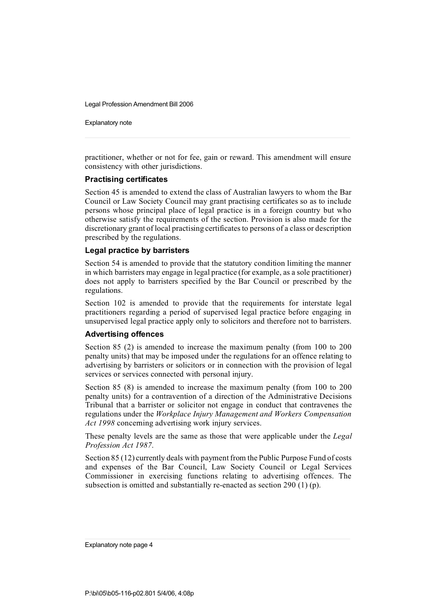Explanatory note

practitioner, whether or not for fee, gain or reward. This amendment will ensure consistency with other jurisdictions.

### **Practising certificates**

Section 45 is amended to extend the class of Australian lawyers to whom the Bar Council or Law Society Council may grant practising certificates so as to include persons whose principal place of legal practice is in a foreign country but who otherwise satisfy the requirements of the section. Provision is also made for the discretionary grant of local practising certificates to persons of a class or description prescribed by the regulations.

#### **Legal practice by barristers**

Section 54 is amended to provide that the statutory condition limiting the manner in which barristers may engage in legal practice (for example, as a sole practitioner) does not apply to barristers specified by the Bar Council or prescribed by the regulations.

Section 102 is amended to provide that the requirements for interstate legal practitioners regarding a period of supervised legal practice before engaging in unsupervised legal practice apply only to solicitors and therefore not to barristers.

### **Advertising offences**

Section 85 (2) is amended to increase the maximum penalty (from 100 to 200 penalty units) that may be imposed under the regulations for an offence relating to advertising by barristers or solicitors or in connection with the provision of legal services or services connected with personal injury.

Section 85 (8) is amended to increase the maximum penalty (from 100 to 200 penalty units) for a contravention of a direction of the Administrative Decisions Tribunal that a barrister or solicitor not engage in conduct that contravenes the regulations under the *Workplace Injury Management and Workers Compensation Act 1998* concerning advertising work injury services.

These penalty levels are the same as those that were applicable under the *Legal Profession Act 1987*.

Section 85 (12) currently deals with payment from the Public Purpose Fund of costs and expenses of the Bar Council, Law Society Council or Legal Services Commissioner in exercising functions relating to advertising offences. The subsection is omitted and substantially re-enacted as section 290 (1) (p).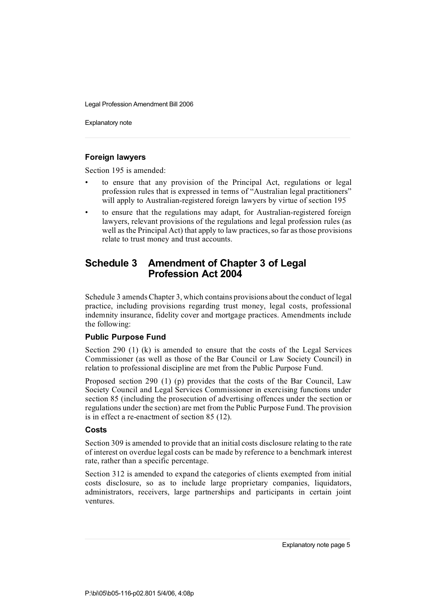Explanatory note

### **Foreign lawyers**

Section 195 is amended:

- to ensure that any provision of the Principal Act, regulations or legal profession rules that is expressed in terms of "Australian legal practitioners" will apply to Australian-registered foreign lawyers by virtue of section 195
- to ensure that the regulations may adapt, for Australian-registered foreign lawyers, relevant provisions of the regulations and legal profession rules (as well as the Principal Act) that apply to law practices, so far as those provisions relate to trust money and trust accounts.

# **Schedule 3 Amendment of Chapter 3 of Legal Profession Act 2004**

Schedule 3 amends Chapter 3, which contains provisions about the conduct of legal practice, including provisions regarding trust money, legal costs, professional indemnity insurance, fidelity cover and mortgage practices. Amendments include the following:

### **Public Purpose Fund**

Section 290 (1) (k) is amended to ensure that the costs of the Legal Services Commissioner (as well as those of the Bar Council or Law Society Council) in relation to professional discipline are met from the Public Purpose Fund.

Proposed section 290 (1) (p) provides that the costs of the Bar Council, Law Society Council and Legal Services Commissioner in exercising functions under section 85 (including the prosecution of advertising offences under the section or regulations under the section) are met from the Public Purpose Fund. The provision is in effect a re-enactment of section 85 (12).

### **Costs**

Section 309 is amended to provide that an initial costs disclosure relating to the rate of interest on overdue legal costs can be made by reference to a benchmark interest rate, rather than a specific percentage.

Section 312 is amended to expand the categories of clients exempted from initial costs disclosure, so as to include large proprietary companies, liquidators, administrators, receivers, large partnerships and participants in certain joint ventures.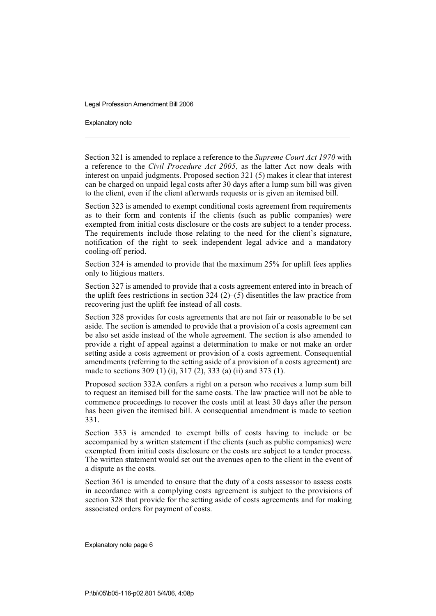Explanatory note

Section 321 is amended to replace a reference to the *Supreme Court Act 1970* with a reference to the *Civil Procedure Act 2005*, as the latter Act now deals with interest on unpaid judgments. Proposed section 321 (5) makes it clear that interest can be charged on unpaid legal costs after 30 days after a lump sum bill was given to the client, even if the client afterwards requests or is given an itemised bill.

Section 323 is amended to exempt conditional costs agreement from requirements as to their form and contents if the clients (such as public companies) were exempted from initial costs disclosure or the costs are subject to a tender process. The requirements include those relating to the need for the client's signature, notification of the right to seek independent legal advice and a mandatory cooling-off period.

Section 324 is amended to provide that the maximum 25% for uplift fees applies only to litigious matters.

Section 327 is amended to provide that a costs agreement entered into in breach of the uplift fees restrictions in section 324  $(2)$ –(5) disentitles the law practice from recovering just the uplift fee instead of all costs.

Section 328 provides for costs agreements that are not fair or reasonable to be set aside. The section is amended to provide that a provision of a costs agreement can be also set aside instead of the whole agreement. The section is also amended to provide a right of appeal against a determination to make or not make an order setting aside a costs agreement or provision of a costs agreement. Consequential amendments (referring to the setting aside of a provision of a costs agreement) are made to sections 309 (1) (i), 317 (2), 333 (a) (ii) and 373 (1).

Proposed section 332A confers a right on a person who receives a lump sum bill to request an itemised bill for the same costs. The law practice will not be able to commence proceedings to recover the costs until at least 30 days after the person has been given the itemised bill. A consequential amendment is made to section 331.

Section 333 is amended to exempt bills of costs having to include or be accompanied by a written statement if the clients (such as public companies) were exempted from initial costs disclosure or the costs are subject to a tender process. The written statement would set out the avenues open to the client in the event of a dispute as the costs.

Section 361 is amended to ensure that the duty of a costs assessor to assess costs in accordance with a complying costs agreement is subject to the provisions of section 328 that provide for the setting aside of costs agreements and for making associated orders for payment of costs.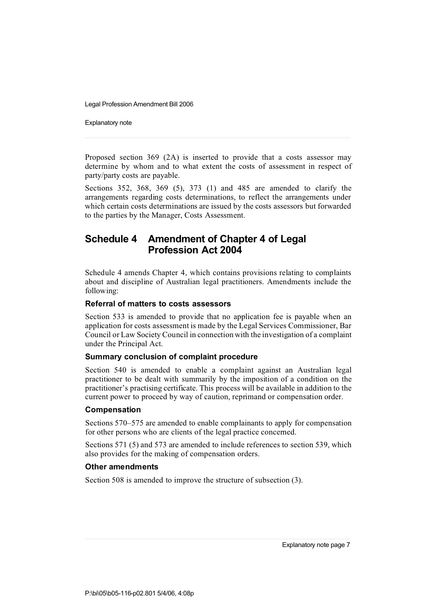Explanatory note

Proposed section 369 (2A) is inserted to provide that a costs assessor may determine by whom and to what extent the costs of assessment in respect of party/party costs are payable.

Sections 352, 368, 369 (5), 373 (1) and 485 are amended to clarify the arrangements regarding costs determinations, to reflect the arrangements under which certain costs determinations are issued by the costs assessors but forwarded to the parties by the Manager, Costs Assessment.

# **Schedule 4 Amendment of Chapter 4 of Legal Profession Act 2004**

Schedule 4 amends Chapter 4, which contains provisions relating to complaints about and discipline of Australian legal practitioners. Amendments include the following:

#### **Referral of matters to costs assessors**

Section 533 is amended to provide that no application fee is payable when an application for costs assessment is made by the Legal Services Commissioner, Bar Council or Law Society Council in connection with the investigation of a complaint under the Principal Act.

#### **Summary conclusion of complaint procedure**

Section 540 is amended to enable a complaint against an Australian legal practitioner to be dealt with summarily by the imposition of a condition on the practitioner's practising certificate. This process will be available in addition to the current power to proceed by way of caution, reprimand or compensation order.

#### **Compensation**

Sections 570–575 are amended to enable complainants to apply for compensation for other persons who are clients of the legal practice concerned.

Sections 571 (5) and 573 are amended to include references to section 539, which also provides for the making of compensation orders.

### **Other amendments**

Section 508 is amended to improve the structure of subsection (3).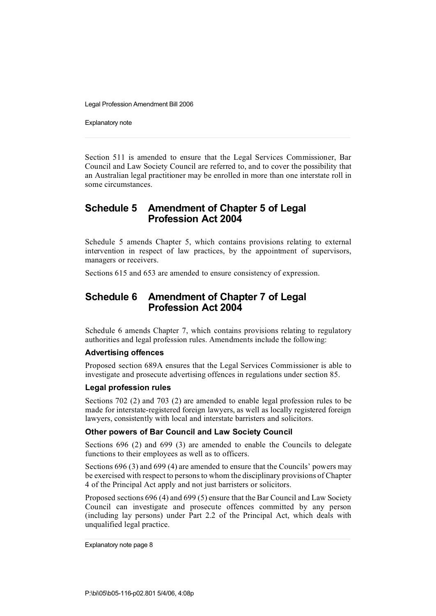Explanatory note

Section 511 is amended to ensure that the Legal Services Commissioner, Bar Council and Law Society Council are referred to, and to cover the possibility that an Australian legal practitioner may be enrolled in more than one interstate roll in some circumstances.

# **Schedule 5 Amendment of Chapter 5 of Legal Profession Act 2004**

Schedule 5 amends Chapter 5, which contains provisions relating to external intervention in respect of law practices, by the appointment of supervisors, managers or receivers.

Sections 615 and 653 are amended to ensure consistency of expression.

# **Schedule 6 Amendment of Chapter 7 of Legal Profession Act 2004**

Schedule 6 amends Chapter 7, which contains provisions relating to regulatory authorities and legal profession rules. Amendments include the following:

#### **Advertising offences**

Proposed section 689A ensures that the Legal Services Commissioner is able to investigate and prosecute advertising offences in regulations under section 85.

### **Legal profession rules**

Sections 702 (2) and 703 (2) are amended to enable legal profession rules to be made for interstate-registered foreign lawyers, as well as locally registered foreign lawyers, consistently with local and interstate barristers and solicitors.

### **Other powers of Bar Council and Law Society Council**

Sections 696 (2) and 699 (3) are amended to enable the Councils to delegate functions to their employees as well as to officers.

Sections 696 (3) and 699 (4) are amended to ensure that the Councils' powers may be exercised with respect to persons to whom the disciplinary provisions of Chapter 4 of the Principal Act apply and not just barristers or solicitors.

Proposed sections 696 (4) and 699 (5) ensure that the Bar Council and Law Society Council can investigate and prosecute offences committed by any person (including lay persons) under Part 2.2 of the Principal Act, which deals with unqualified legal practice.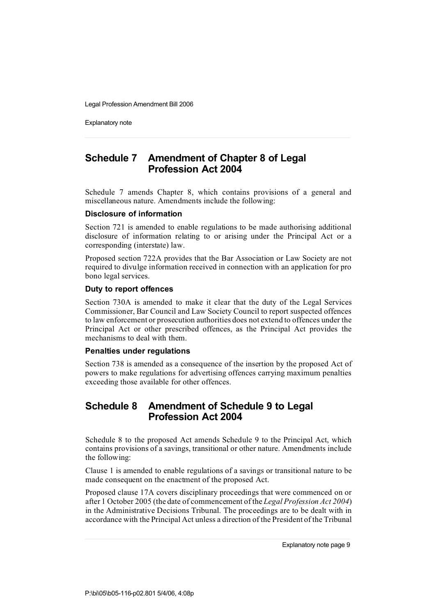Explanatory note

# **Schedule 7 Amendment of Chapter 8 of Legal Profession Act 2004**

Schedule 7 amends Chapter 8, which contains provisions of a general and miscellaneous nature. Amendments include the following:

### **Disclosure of information**

Section 721 is amended to enable regulations to be made authorising additional disclosure of information relating to or arising under the Principal Act or a corresponding (interstate) law.

Proposed section 722A provides that the Bar Association or Law Society are not required to divulge information received in connection with an application for pro bono legal services.

### **Duty to report offences**

Section 730A is amended to make it clear that the duty of the Legal Services Commissioner, Bar Council and Law Society Council to report suspected offences to law enforcement or prosecution authorities does not extend to offences under the Principal Act or other prescribed offences, as the Principal Act provides the mechanisms to deal with them.

#### **Penalties under regulations**

Section 738 is amended as a consequence of the insertion by the proposed Act of powers to make regulations for advertising offences carrying maximum penalties exceeding those available for other offences.

# **Schedule 8 Amendment of Schedule 9 to Legal Profession Act 2004**

Schedule 8 to the proposed Act amends Schedule 9 to the Principal Act, which contains provisions of a savings, transitional or other nature. Amendments include the following:

Clause 1 is amended to enable regulations of a savings or transitional nature to be made consequent on the enactment of the proposed Act.

Proposed clause 17A covers disciplinary proceedings that were commenced on or after 1 October 2005 (the date of commencement of the *Legal Profession Act 2004*) in the Administrative Decisions Tribunal. The proceedings are to be dealt with in accordance with the Principal Act unless a direction of the President of the Tribunal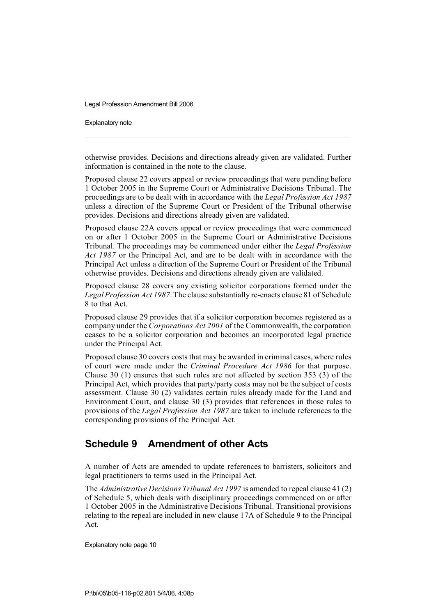Explanatory note

otherwise provides. Decisions and directions already given are validated. Further information is contained in the note to the clause.

Proposed clause 22 covers appeal or review proceedings that were pending before 1 October 2005 in the Supreme Court or Administrative Decisions Tribunal. The proceedings are to be dealt with in accordance with the *Legal Profession Act 1987* unless a direction of the Supreme Court or President of the Tribunal otherwise provides. Decisions and directions already given are validated.

Proposed clause 22A covers appeal or review proceedings that were commenced on or after 1 October 2005 in the Supreme Court or Administrative Decisions Tribunal. The proceedings may be commenced under either the *Legal Profession Act 1987* or the Principal Act, and are to be dealt with in accordance with the Principal Act unless a direction of the Supreme Court or President of the Tribunal otherwise provides. Decisions and directions already given are validated.

Proposed clause 28 covers any existing solicitor corporations formed under the *LegalProfession Act 1987*. The clause substantially re-enacts clause 81 of Schedule 8 to that Act.

Proposed clause 29 provides that if a solicitor corporation becomes registered as a company under the *Corporations Act 2001* of the Commonwealth, the corporation ceases to be a solicitor corporation and becomes an incorporated legal practice under the Principal Act.

Proposed clause 30 covers costs that may be awarded in criminal cases, where rules of court were made under the *Criminal Procedure Act 1986* for that purpose. Clause 30 (1) ensures that such rules are not affected by section 353 (3) of the Principal Act, which provides that party/party costs may not be the subject of costs assessment. Clause 30 (2) validates certain rules already made for the Land and Environment Court, and clause 30 (3) provides that references in those rules to provisions of the *Legal Profession Act 1987* are taken to include references to the corresponding provisions of the Principal Act.

# **Schedule 9 Amendment of other Acts**

A number of Acts are amended to update references to barristers, solicitors and legal practitioners to terms used in the Principal Act.

The *Administrative Decisions Tribunal Act 1997* is amended to repeal clause 41 (2) of Schedule 5, which deals with disciplinary proceedings commenced on or after 1 October 2005 in the Administrative Decisions Tribunal. Transitional provisions relating to the repeal are included in new clause 17A of Schedule 9 to the Principal Act.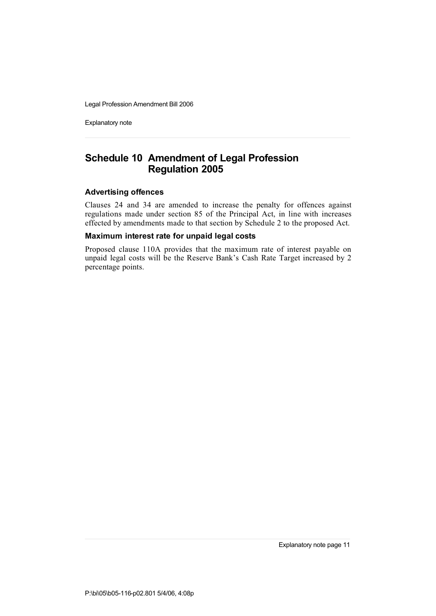Explanatory note

# **Schedule 10 Amendment of Legal Profession Regulation 2005**

### **Advertising offences**

Clauses 24 and 34 are amended to increase the penalty for offences against regulations made under section 85 of the Principal Act, in line with increases effected by amendments made to that section by Schedule 2 to the proposed Act.

### **Maximum interest rate for unpaid legal costs**

Proposed clause 110A provides that the maximum rate of interest payable on unpaid legal costs will be the Reserve Bank's Cash Rate Target increased by 2 percentage points.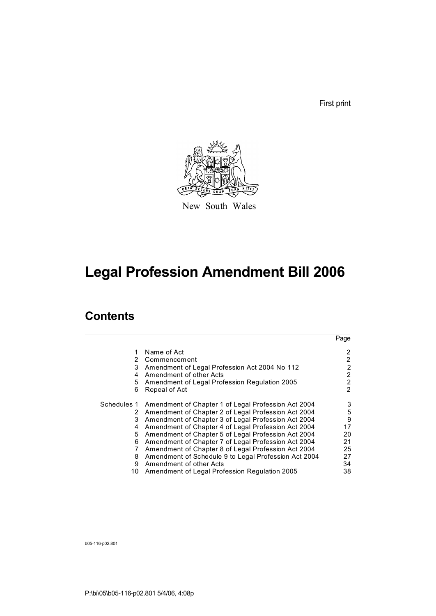First print



New South Wales

# **Legal Profession Amendment Bill 2006**

# **Contents**

|             |                                                      | Page           |
|-------------|------------------------------------------------------|----------------|
| 2           | Name of Act<br>Commencement                          | 2<br>2         |
| 3           | Amendment of Legal Profession Act 2004 No 112        | $\overline{2}$ |
| 4           | Amendment of other Acts                              | 2              |
|             |                                                      | 2              |
| 5           | Amendment of Legal Profession Regulation 2005        |                |
| 6           | Repeal of Act                                        | $\mathcal{P}$  |
| Schedules 1 | Amendment of Chapter 1 of Legal Profession Act 2004  | 3              |
| 2           | Amendment of Chapter 2 of Legal Profession Act 2004  | 5              |
| 3           | Amendment of Chapter 3 of Legal Profession Act 2004  | 9              |
| 4           | Amendment of Chapter 4 of Legal Profession Act 2004  | 17             |
| 5.          | Amendment of Chapter 5 of Legal Profession Act 2004  | 20             |
| 6           | Amendment of Chapter 7 of Legal Profession Act 2004  | 21             |
|             | Amendment of Chapter 8 of Legal Profession Act 2004  | 25             |
| 8           | Amendment of Schedule 9 to Legal Profession Act 2004 | 27             |
| 9           | Amendment of other Acts                              | 34             |
| 10          | Amendment of Legal Profession Regulation 2005        | 38             |

b05-116-p02.801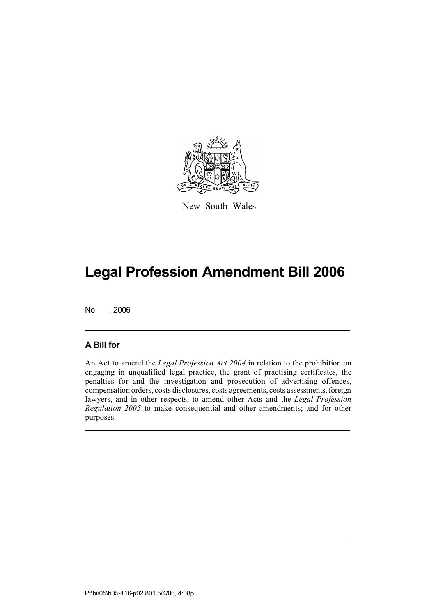

New South Wales

No , 2006

### **A Bill for**

An Act to amend the *Legal Profession Act 2004* in relation to the prohibition on engaging in unqualified legal practice, the grant of practising certificates, the penalties for and the investigation and prosecution of advertising offences, compensation orders, costs disclosures, costs agreements, costs assessments, foreign lawyers, and in other respects; to amend other Acts and the *Legal Profession Regulation 2005* to make consequential and other amendments; and for other purposes.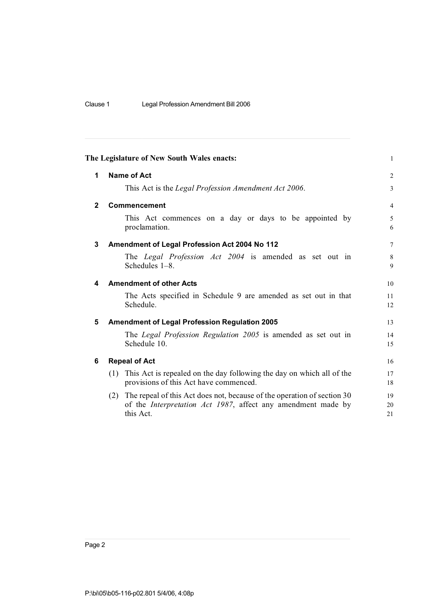|              | The Legislature of New South Wales enacts:                                                                                                                          | $\mathbf{1}$   |
|--------------|---------------------------------------------------------------------------------------------------------------------------------------------------------------------|----------------|
| 1            | <b>Name of Act</b>                                                                                                                                                  | $\overline{2}$ |
|              | This Act is the Legal Profession Amendment Act 2006.                                                                                                                | 3              |
| $\mathbf{2}$ | Commencement                                                                                                                                                        | $\overline{4}$ |
|              | This Act commences on a day or days to be appointed by<br>proclamation.                                                                                             | 5<br>6         |
| 3            | Amendment of Legal Profession Act 2004 No 112                                                                                                                       | 7              |
|              | The Legal Profession Act 2004 is amended as set out in<br>Schedules 1-8.                                                                                            | 8<br>9         |
| 4            | <b>Amendment of other Acts</b>                                                                                                                                      | 10             |
|              | The Acts specified in Schedule 9 are amended as set out in that<br>Schedule.                                                                                        | 11<br>12       |
| 5            | <b>Amendment of Legal Profession Regulation 2005</b>                                                                                                                | 13             |
|              | The Legal Profession Regulation 2005 is amended as set out in<br>Schedule 10.                                                                                       | 14<br>15       |
| 6            | <b>Repeal of Act</b>                                                                                                                                                | 16             |
|              | This Act is repealed on the day following the day on which all of the<br>(1)<br>provisions of this Act have commenced.                                              | 17<br>18       |
|              | The repeal of this Act does not, because of the operation of section 30<br>(2)<br>of the <i>Interpretation Act 1987</i> , affect any amendment made by<br>this Act. | 19<br>20<br>21 |
|              |                                                                                                                                                                     |                |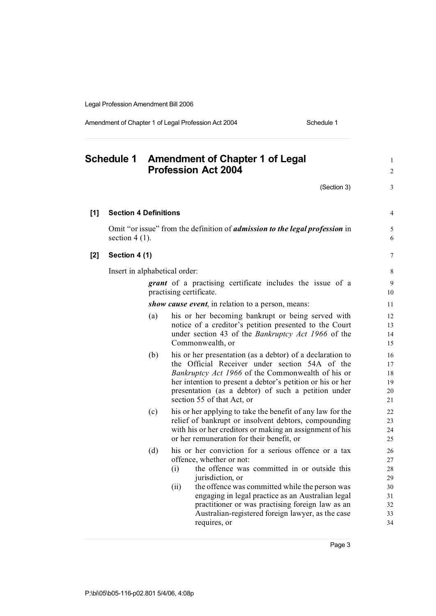Amendment of Chapter 1 of Legal Profession Act 2004 Schedule 1

**Schedule 1 Amendment of Chapter 1 of Legal** <sup>1</sup> **Profession Act 2004** <sup>2</sup>  $(Section 3)$  3 **[1] Section 4 Definitions** 4 Omit "or issue" from the definition of *admission to the legal profession* in 5 section 4 (1).  $\qquad \qquad 6$ **[2] Section 4 (1)** 7 Insert in alphabetical order: 8 **grant** of a practising certificate includes the issue of a 9 practising certificate. 10 *show cause event*, in relation to a person, means: 11 (a) his or her becoming bankrupt or being served with 12 notice of a creditor's petition presented to the Court 13 under section 43 of the *Bankruptcy Act 1966* of the 14 Commonwealth, or 15 (b) his or her presentation (as a debtor) of a declaration to 16 the Official Receiver under section 54A of the 17 *Bankruptcy Act 1966* of the Commonwealth of his or 18 her intention to present a debtor's petition or his or her 19 presentation (as a debtor) of such a petition under 20 section 55 of that Act, or 21 (c) his or her applying to take the benefit of any law for the 22 relief of bankrupt or insolvent debtors, compounding 23 with his or her creditors or making an assignment of his 24 or her remuneration for their benefit, or 25 (d) his or her conviction for a serious offence or a tax 26 offence, whether or not: 27 (i) the offence was committed in or outside this 28 jurisdiction, or 29 (ii) the offence was committed while the person was  $30$ engaging in legal practice as an Australian legal 31 practitioner or was practising foreign law as an  $32$ Australian-registered foreign lawyer, as the case 33 requires, or 34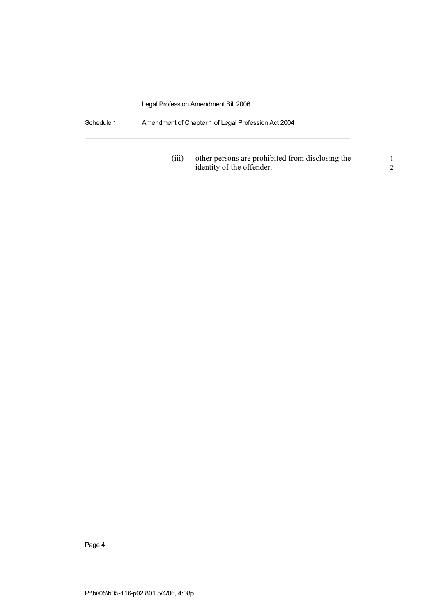Schedule 1 Amendment of Chapter 1 of Legal Profession Act 2004

(iii) other persons are prohibited from disclosing the 1 identity of the offender. 2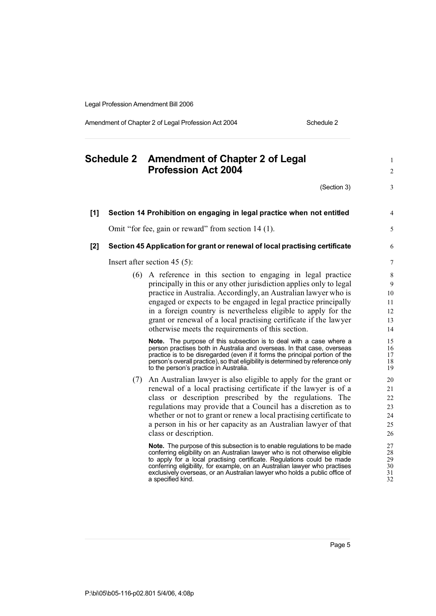Amendment of Chapter 2 of Legal Profession Act 2004 Schedule 2

|       |  | Schedule 2 Amendment of Chapter 2 of Legal<br><b>Profession Act 2004</b>                                                                                                                                                                                                                                                                                                                                                                                             |                                        |  |
|-------|--|----------------------------------------------------------------------------------------------------------------------------------------------------------------------------------------------------------------------------------------------------------------------------------------------------------------------------------------------------------------------------------------------------------------------------------------------------------------------|----------------------------------------|--|
|       |  | (Section 3)                                                                                                                                                                                                                                                                                                                                                                                                                                                          | 3                                      |  |
| [1]   |  | Section 14 Prohibition on engaging in legal practice when not entitled                                                                                                                                                                                                                                                                                                                                                                                               | 4                                      |  |
|       |  | Omit "for fee, gain or reward" from section 14 (1).                                                                                                                                                                                                                                                                                                                                                                                                                  | 5                                      |  |
| $[2]$ |  | Section 45 Application for grant or renewal of local practising certificate                                                                                                                                                                                                                                                                                                                                                                                          | 6                                      |  |
|       |  | Insert after section $45$ (5):                                                                                                                                                                                                                                                                                                                                                                                                                                       | 7                                      |  |
|       |  | (6) A reference in this section to engaging in legal practice<br>principally in this or any other jurisdiction applies only to legal<br>practice in Australia. Accordingly, an Australian lawyer who is<br>engaged or expects to be engaged in legal practice principally<br>in a foreign country is nevertheless eligible to apply for the<br>grant or renewal of a local practising certificate if the lawyer<br>otherwise meets the requirements of this section. | 8<br>9<br>10<br>11<br>12<br>13<br>14   |  |
|       |  | <b>Note.</b> The purpose of this subsection is to deal with a case where a<br>person practises both in Australia and overseas. In that case, overseas<br>practice is to be disregarded (even if it forms the principal portion of the<br>person's overall practice), so that eligibility is determined by reference only<br>to the person's practice in Australia.                                                                                                   | 15<br>16<br>17<br>18<br>19             |  |
|       |  | (7) An Australian lawyer is also eligible to apply for the grant or<br>renewal of a local practising certificate if the lawyer is of a<br>class or description prescribed by the regulations. The<br>regulations may provide that a Council has a discretion as to<br>whether or not to grant or renew a local practising certificate to<br>a person in his or her capacity as an Australian lawyer of that<br>class or description.                                 | 20<br>21<br>22<br>23<br>24<br>25<br>26 |  |
|       |  | <b>Note.</b> The purpose of this subsection is to enable regulations to be made<br>conferring eligibility on an Australian lawyer who is not otherwise eligible<br>to apply for a local practising certificate. Regulations could be made<br>conferring eligibility, for example, on an Australian lawyer who practises<br>exclusively overseas, or an Australian lawyer who holds a public office of<br>a specified kind.                                           | 27<br>28<br>29<br>30<br>31<br>32       |  |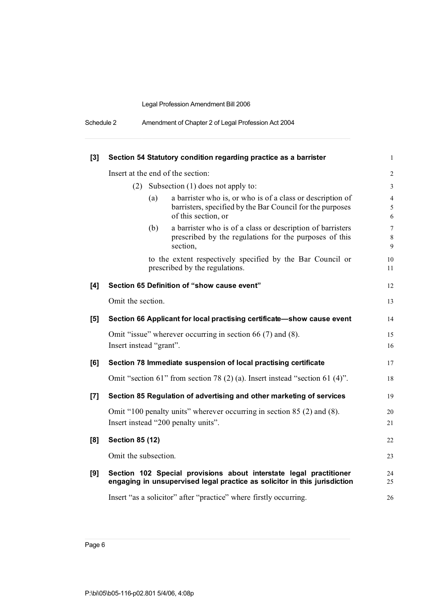| Schedule 2 | Amendment of Chapter 2 of Legal Profession Act 2004 |  |
|------------|-----------------------------------------------------|--|
|------------|-----------------------------------------------------|--|

| $[3]$ |                         |     | Section 54 Statutory condition regarding practice as a barrister                                                                                | $\mathbf{1}$                         |
|-------|-------------------------|-----|-------------------------------------------------------------------------------------------------------------------------------------------------|--------------------------------------|
|       |                         |     | Insert at the end of the section:                                                                                                               | $\overline{2}$                       |
|       | (2)                     |     | Subsection $(1)$ does not apply to:                                                                                                             | $\mathfrak{Z}$                       |
|       |                         | (a) | a barrister who is, or who is of a class or description of<br>barristers, specified by the Bar Council for the purposes<br>of this section, or  | $\overline{4}$<br>$\mathfrak s$<br>6 |
|       |                         | (b) | a barrister who is of a class or description of barristers<br>prescribed by the regulations for the purposes of this<br>section,                | $\boldsymbol{7}$<br>$\,8\,$<br>9     |
|       |                         |     | to the extent respectively specified by the Bar Council or<br>prescribed by the regulations.                                                    | 10<br>11                             |
| [4]   |                         |     | Section 65 Definition of "show cause event"                                                                                                     | 12                                   |
|       | Omit the section.       |     |                                                                                                                                                 | 13                                   |
| [5]   |                         |     | Section 66 Applicant for local practising certificate-show cause event                                                                          | 14                                   |
|       | Insert instead "grant". |     | Omit "issue" wherever occurring in section 66 (7) and (8).                                                                                      | 15<br>16                             |
| [6]   |                         |     | Section 78 Immediate suspension of local practising certificate                                                                                 | 17                                   |
|       |                         |     | Omit "section 61" from section 78 $(2)$ (a). Insert instead "section 61 $(4)$ ".                                                                | 18                                   |
| $[7]$ |                         |     | Section 85 Regulation of advertising and other marketing of services                                                                            | 19                                   |
|       |                         |     | Omit "100 penalty units" wherever occurring in section 85 (2) and (8).<br>Insert instead "200 penalty units".                                   | 20<br>21                             |
| [8]   | <b>Section 85 (12)</b>  |     |                                                                                                                                                 | $22\,$                               |
|       | Omit the subsection.    |     |                                                                                                                                                 | 23                                   |
| [9]   |                         |     | Section 102 Special provisions about interstate legal practitioner<br>engaging in unsupervised legal practice as solicitor in this jurisdiction | 24<br>25                             |
|       |                         |     | Insert "as a solicitor" after "practice" where firstly occurring.                                                                               | 26                                   |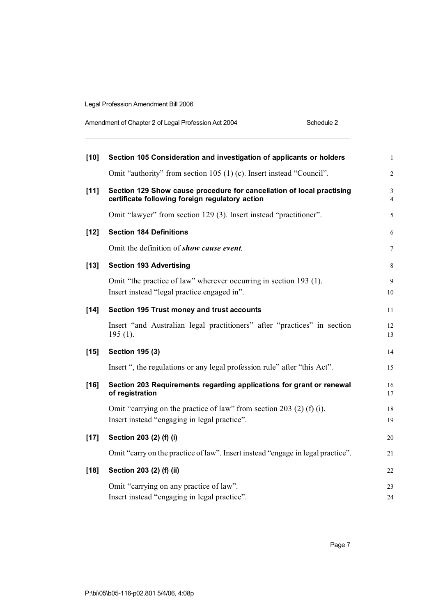| Amendment of Chapter 2 of Legal Profession Act 2004 | Schedule 2 |
|-----------------------------------------------------|------------|
|                                                     |            |

| $[10]$ | Section 105 Consideration and investigation of applicants or holders                                                     | $\mathbf{1}$                     |
|--------|--------------------------------------------------------------------------------------------------------------------------|----------------------------------|
|        | Omit "authority" from section 105 (1) (c). Insert instead "Council".                                                     | $\overline{2}$                   |
| [11]   | Section 129 Show cause procedure for cancellation of local practising<br>certificate following foreign regulatory action | $\mathfrak{Z}$<br>$\overline{4}$ |
|        | Omit "lawyer" from section 129 (3). Insert instead "practitioner".                                                       | 5                                |
| $[12]$ | <b>Section 184 Definitions</b>                                                                                           | 6                                |
|        | Omit the definition of show cause event.                                                                                 | $\tau$                           |
| $[13]$ | <b>Section 193 Advertising</b>                                                                                           | 8                                |
|        | Omit "the practice of law" wherever occurring in section 193 (1).<br>Insert instead "legal practice engaged in".         | 9<br>10                          |
| $[14]$ | Section 195 Trust money and trust accounts                                                                               | 11                               |
|        | Insert "and Australian legal practitioners" after "practices" in section<br>$195(1)$ .                                   | 12<br>13                         |
| $[15]$ | <b>Section 195 (3)</b>                                                                                                   | 14                               |
|        | Insert ", the regulations or any legal profession rule" after "this Act".                                                | 15                               |
| $[16]$ | Section 203 Requirements regarding applications for grant or renewal<br>of registration                                  | 16<br>17                         |
|        | Omit "carrying on the practice of law" from section 203 (2) (f) (i).<br>Insert instead "engaging in legal practice".     | 18<br>19                         |
| $[17]$ | Section 203 (2) (f) (i)                                                                                                  | 20                               |
|        | Omit "carry on the practice of law". Insert instead "engage in legal practice".                                          | 21                               |
| $[18]$ | Section 203 (2) (f) (ii)                                                                                                 | 22                               |
|        | Omit "carrying on any practice of law".<br>Insert instead "engaging in legal practice".                                  | 23<br>24                         |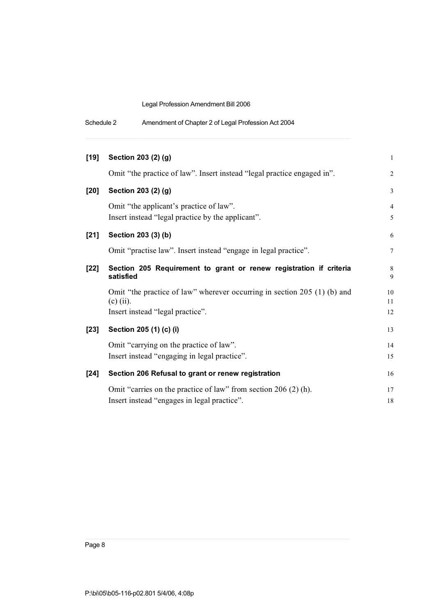| Schedule 2<br>Amendment of Chapter 2 of Legal Profession Act 2004 |  |
|-------------------------------------------------------------------|--|
|-------------------------------------------------------------------|--|

| $[19]$ | Section 203 (2) (g)                                                                          | $\mathbf{1}$        |
|--------|----------------------------------------------------------------------------------------------|---------------------|
|        | Omit "the practice of law". Insert instead "legal practice engaged in".                      | $\overline{2}$      |
| [20]   | Section 203 (2) (g)                                                                          | $\mathfrak{Z}$      |
|        | Omit "the applicant's practice of law".<br>Insert instead "legal practice by the applicant". | $\overline{4}$<br>5 |
| $[21]$ | Section 203 (3) (b)                                                                          | 6                   |
|        | Omit "practise law". Insert instead "engage in legal practice".                              | $\tau$              |
| $[22]$ | Section 205 Requirement to grant or renew registration if criteria<br>satisfied              | 8<br>9              |
|        | Omit "the practice of law" wherever occurring in section 205 (1) (b) and<br>$(c)$ (ii).      | 10<br>11            |
|        | Insert instead "legal practice".                                                             | 12                  |
| $[23]$ | Section 205 (1) (c) (i)                                                                      | 13                  |
|        | Omit "carrying on the practice of law".                                                      | 14                  |
|        | Insert instead "engaging in legal practice".                                                 | 15                  |
| $[24]$ | Section 206 Refusal to grant or renew registration                                           | 16                  |
|        | Omit "carries on the practice of law" from section $206(2)$ (h).                             | 17                  |
|        | Insert instead "engages in legal practice".                                                  | 18                  |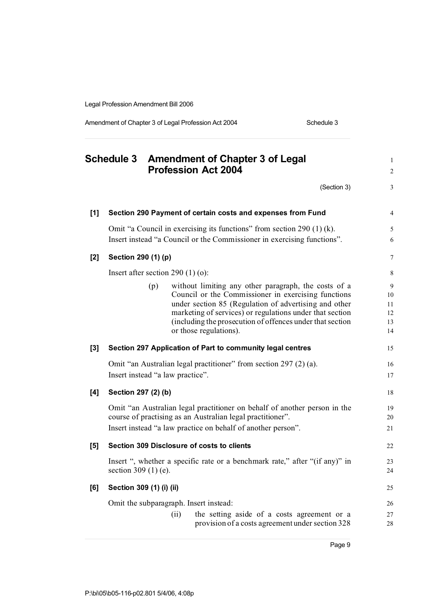Amendment of Chapter 3 of Legal Profession Act 2004 Schedule 3

|       | <b>Schedule 3</b>        |     | <b>Amendment of Chapter 3 of Legal</b><br><b>Profession Act 2004</b>                                                                                                                                                                                                                                                    | $\mathbf{1}$<br>$\overline{c}$  |
|-------|--------------------------|-----|-------------------------------------------------------------------------------------------------------------------------------------------------------------------------------------------------------------------------------------------------------------------------------------------------------------------------|---------------------------------|
|       |                          |     | (Section 3)                                                                                                                                                                                                                                                                                                             | 3                               |
| $[1]$ |                          |     | Section 290 Payment of certain costs and expenses from Fund                                                                                                                                                                                                                                                             | $\overline{4}$                  |
|       |                          |     | Omit "a Council in exercising its functions" from section 290 (1) (k).<br>Insert instead "a Council or the Commissioner in exercising functions".                                                                                                                                                                       | 5<br>6                          |
| $[2]$ | Section 290 (1) (p)      |     |                                                                                                                                                                                                                                                                                                                         | $\boldsymbol{7}$                |
|       |                          |     | Insert after section 290 $(1)$ (o):                                                                                                                                                                                                                                                                                     | 8                               |
|       |                          | (p) | without limiting any other paragraph, the costs of a<br>Council or the Commissioner in exercising functions<br>under section 85 (Regulation of advertising and other<br>marketing of services) or regulations under that section<br>(including the prosecution of offences under that section<br>or those regulations). | 9<br>10<br>11<br>12<br>13<br>14 |
| [3]   |                          |     | Section 297 Application of Part to community legal centres                                                                                                                                                                                                                                                              | 15                              |
|       |                          |     | Omit "an Australian legal practitioner" from section 297 (2) (a).<br>Insert instead "a law practice".                                                                                                                                                                                                                   | 16<br>17                        |
| [4]   | Section 297 (2) (b)      |     |                                                                                                                                                                                                                                                                                                                         | 18                              |
|       |                          |     | Omit "an Australian legal practitioner on behalf of another person in the<br>course of practising as an Australian legal practitioner".<br>Insert instead "a law practice on behalf of another person".                                                                                                                 | 19<br>20<br>21                  |
| [5]   |                          |     | Section 309 Disclosure of costs to clients                                                                                                                                                                                                                                                                              | 22                              |
|       | section 309 $(1)$ (e).   |     | Insert ", whether a specific rate or a benchmark rate," after "(if any)" in                                                                                                                                                                                                                                             | 23<br>24                        |
| [6]   | Section 309 (1) (i) (ii) |     |                                                                                                                                                                                                                                                                                                                         | 25                              |
|       |                          |     | Omit the subparagraph. Insert instead:                                                                                                                                                                                                                                                                                  | 26                              |
|       |                          |     | the setting aside of a costs agreement or a<br>(ii)<br>provision of a costs agreement under section 328                                                                                                                                                                                                                 | 27<br>28                        |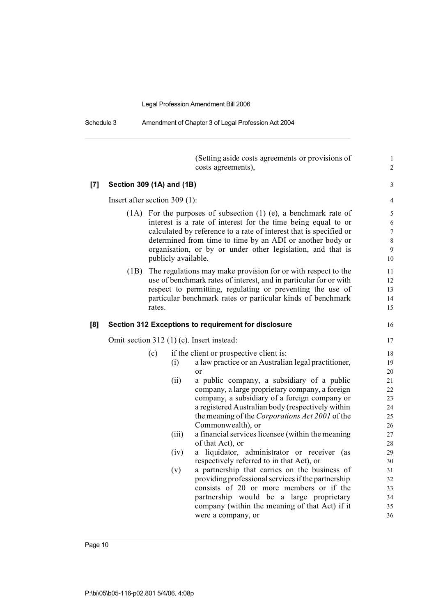Schedule 3 Amendment of Chapter 3 of Legal Profession Act 2004

|       |                                                             |        |                                                             | (Setting aside costs agreements or provisions of<br>costs agreements),                             | 1<br>$\overline{c}$ |  |
|-------|-------------------------------------------------------------|--------|-------------------------------------------------------------|----------------------------------------------------------------------------------------------------|---------------------|--|
| $[7]$ | Section 309 (1A) and (1B)                                   |        |                                                             |                                                                                                    | 3                   |  |
|       | Insert after section 309 $(1)$ :                            |        |                                                             |                                                                                                    | $\overline{4}$      |  |
|       |                                                             |        |                                                             | $(1A)$ For the purposes of subsection $(1)$ (e), a benchmark rate of                               | 5                   |  |
|       |                                                             |        |                                                             | interest is a rate of interest for the time being equal to or                                      | 6                   |  |
|       |                                                             |        |                                                             | calculated by reference to a rate of interest that is specified or                                 | $\overline{7}$      |  |
|       |                                                             |        |                                                             | determined from time to time by an ADI or another body or                                          | 8                   |  |
|       |                                                             |        | organisation, or by or under other legislation, and that is |                                                                                                    |                     |  |
|       |                                                             |        | publicly available.                                         |                                                                                                    | 10                  |  |
|       | (1B)                                                        |        |                                                             | The regulations may make provision for or with respect to the                                      | 11                  |  |
|       |                                                             |        |                                                             | use of benchmark rates of interest, and in particular for or with                                  | 12                  |  |
|       |                                                             |        |                                                             | respect to permitting, regulating or preventing the use of                                         | 13                  |  |
|       |                                                             | rates. |                                                             | particular benchmark rates or particular kinds of benchmark                                        | 14<br>15            |  |
|       |                                                             |        |                                                             |                                                                                                    |                     |  |
| [8]   | <b>Section 312 Exceptions to requirement for disclosure</b> |        |                                                             |                                                                                                    | 16                  |  |
|       | Omit section 312 (1) (c). Insert instead:                   |        |                                                             |                                                                                                    |                     |  |
|       | if the client or prospective client is:<br>(c)              |        |                                                             |                                                                                                    |                     |  |
|       |                                                             |        | (i)                                                         | a law practice or an Australian legal practitioner,                                                | 19                  |  |
|       |                                                             |        |                                                             | or                                                                                                 | 20                  |  |
|       |                                                             |        | (ii)                                                        | a public company, a subsidiary of a public                                                         | 21                  |  |
|       |                                                             |        |                                                             | company, a large proprietary company, a foreign                                                    | 22                  |  |
|       |                                                             |        |                                                             | company, a subsidiary of a foreign company or<br>a registered Australian body (respectively within | 23<br>24            |  |
|       |                                                             |        |                                                             | the meaning of the Corporations Act 2001 of the                                                    | 25                  |  |
|       |                                                             |        |                                                             | Commonwealth), or                                                                                  | 26                  |  |
|       |                                                             |        | (iii)                                                       | a financial services licensee (within the meaning                                                  | 27                  |  |
|       |                                                             |        |                                                             | of that Act), or                                                                                   | 28                  |  |
|       |                                                             |        | (iv)                                                        | a liquidator, administrator or receiver (as                                                        | 29                  |  |
|       |                                                             |        |                                                             | respectively referred to in that Act), or                                                          | 30                  |  |
|       |                                                             |        | (v)                                                         | a partnership that carries on the business of                                                      | 31                  |  |
|       |                                                             |        |                                                             | providing professional services if the partnership<br>consists of 20 or more members or if the     | 32<br>33            |  |
|       |                                                             |        |                                                             | partnership would be a large proprietary                                                           | 34                  |  |
|       |                                                             |        |                                                             | company (within the meaning of that Act) if it                                                     | 35                  |  |
|       |                                                             |        |                                                             | were a company, or                                                                                 | 36                  |  |
|       |                                                             |        |                                                             |                                                                                                    |                     |  |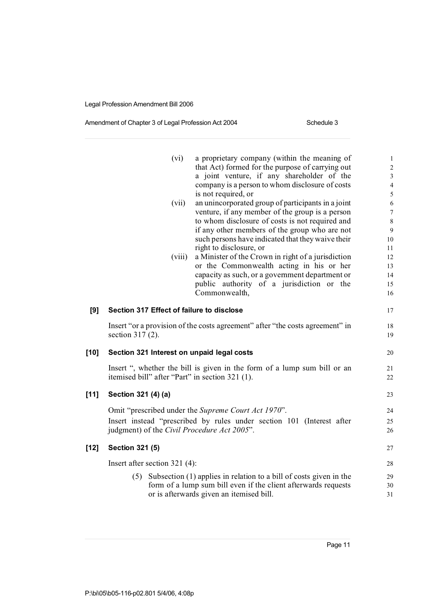### Amendment of Chapter 3 of Legal Profession Act 2004 Schedule 3

|        | (vi)                                            | a proprietary company (within the meaning of                                                                                                 | $\mathbf{1}$                     |
|--------|-------------------------------------------------|----------------------------------------------------------------------------------------------------------------------------------------------|----------------------------------|
|        |                                                 | that Act) formed for the purpose of carrying out                                                                                             | $\sqrt{2}$                       |
|        |                                                 | a joint venture, if any shareholder of the<br>company is a person to whom disclosure of costs                                                | $\mathfrak{Z}$<br>$\overline{4}$ |
|        |                                                 | is not required, or                                                                                                                          | 5                                |
|        | (vii)                                           | an unincorporated group of participants in a joint                                                                                           | $\sqrt{6}$                       |
|        |                                                 | venture, if any member of the group is a person                                                                                              | $\tau$                           |
|        |                                                 | to whom disclosure of costs is not required and                                                                                              | $\,8\,$                          |
|        |                                                 | if any other members of the group who are not                                                                                                | $\mathbf{9}$                     |
|        |                                                 | such persons have indicated that they waive their                                                                                            | 10                               |
|        |                                                 | right to disclosure, or                                                                                                                      | 11                               |
|        | (viii)                                          | a Minister of the Crown in right of a jurisdiction                                                                                           | 12                               |
|        |                                                 | or the Commonwealth acting in his or her                                                                                                     | 13                               |
|        |                                                 | capacity as such, or a government department or                                                                                              | 14                               |
|        |                                                 | public authority of a jurisdiction or the                                                                                                    | 15                               |
|        |                                                 | Commonwealth,                                                                                                                                | 16                               |
| [9]    | Section 317 Effect of failure to disclose       |                                                                                                                                              | 17                               |
|        |                                                 | Insert "or a provision of the costs agreement" after "the costs agreement" in                                                                | 18                               |
|        | section $317(2)$ .                              |                                                                                                                                              | 19                               |
|        |                                                 |                                                                                                                                              |                                  |
| $[10]$ | Section 321 Interest on unpaid legal costs      |                                                                                                                                              | 20                               |
|        |                                                 | Insert ", whether the bill is given in the form of a lump sum bill or an                                                                     | 21                               |
|        | itemised bill" after "Part" in section 321 (1). |                                                                                                                                              | 22                               |
|        |                                                 |                                                                                                                                              |                                  |
| $[11]$ | Section 321 (4) (a)                             |                                                                                                                                              | 23                               |
|        |                                                 | Omit "prescribed under the Supreme Court Act 1970".                                                                                          | 24                               |
|        |                                                 | Insert instead "prescribed by rules under section 101 (Interest after                                                                        | 25                               |
|        | judgment) of the Civil Procedure Act 2005".     |                                                                                                                                              | 26                               |
| $[12]$ | <b>Section 321 (5)</b>                          |                                                                                                                                              | 27                               |
|        | Insert after section $321(4)$ :                 |                                                                                                                                              |                                  |
|        |                                                 |                                                                                                                                              | 28                               |
|        |                                                 | $(5)$ Subsection $(1)$ applies in relation to a bill of costs given in the<br>form of a lump sum bill even if the client afterwards requests | 29<br>30                         |
|        |                                                 | or is afterwards given an itemised bill.                                                                                                     | 31                               |
|        |                                                 |                                                                                                                                              |                                  |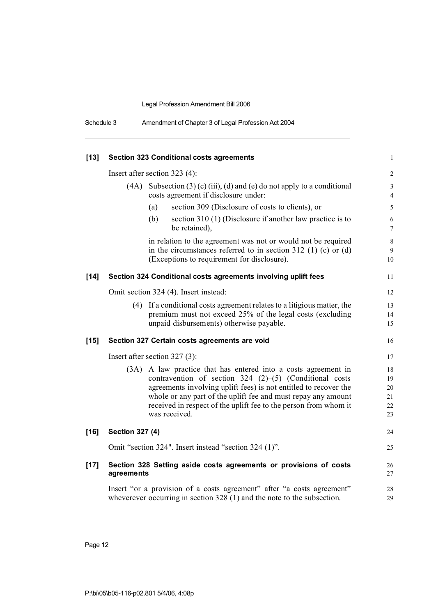| Schedule 3 | Amendment of Chapter 3 of Legal Profession Act 2004 |  |  |  |  |
|------------|-----------------------------------------------------|--|--|--|--|
|------------|-----------------------------------------------------|--|--|--|--|

| $[13]$ |                        | <b>Section 323 Conditional costs agreements</b>                                                                                                                                                                                                                                                                                                      | $\mathbf{1}$                     |
|--------|------------------------|------------------------------------------------------------------------------------------------------------------------------------------------------------------------------------------------------------------------------------------------------------------------------------------------------------------------------------------------------|----------------------------------|
|        |                        | Insert after section 323 (4):                                                                                                                                                                                                                                                                                                                        | $\overline{\mathbf{c}}$          |
|        | (4A)                   | Subsection $(3)$ (c) (iii), (d) and (e) do not apply to a conditional<br>costs agreement if disclosure under:                                                                                                                                                                                                                                        | 3<br>$\overline{4}$              |
|        |                        | section 309 (Disclosure of costs to clients), or<br>(a)                                                                                                                                                                                                                                                                                              | 5                                |
|        |                        | section 310 (1) (Disclosure if another law practice is to<br>(b)<br>be retained),                                                                                                                                                                                                                                                                    | 6<br>$\overline{7}$              |
|        |                        | in relation to the agreement was not or would not be required<br>in the circumstances referred to in section 312 (1) (c) or (d)<br>(Exceptions to requirement for disclosure).                                                                                                                                                                       | 8<br>9<br>10                     |
| $[14]$ |                        | Section 324 Conditional costs agreements involving uplift fees                                                                                                                                                                                                                                                                                       | 11                               |
|        |                        | Omit section 324 (4). Insert instead:                                                                                                                                                                                                                                                                                                                | 12                               |
|        |                        | (4) If a conditional costs agreement relates to a litigious matter, the<br>premium must not exceed 25% of the legal costs (excluding<br>unpaid disbursements) otherwise payable.                                                                                                                                                                     | 13<br>14<br>15                   |
| $[15]$ |                        | Section 327 Certain costs agreements are void                                                                                                                                                                                                                                                                                                        | 16                               |
|        |                        | Insert after section $327(3)$ :                                                                                                                                                                                                                                                                                                                      | 17                               |
|        | (3A)                   | A law practice that has entered into a costs agreement in<br>contravention of section 324 $(2)$ – $(5)$ (Conditional costs<br>agreements involving uplift fees) is not entitled to recover the<br>whole or any part of the uplift fee and must repay any amount<br>received in respect of the uplift fee to the person from whom it<br>was received. | 18<br>19<br>20<br>21<br>22<br>23 |
| $[16]$ | <b>Section 327 (4)</b> |                                                                                                                                                                                                                                                                                                                                                      | 24                               |
|        |                        | Omit "section 324". Insert instead "section 324 (1)".                                                                                                                                                                                                                                                                                                | 25                               |
| $[17]$ | agreements             | Section 328 Setting aside costs agreements or provisions of costs                                                                                                                                                                                                                                                                                    | 26<br>27                         |
|        |                        | Insert "or a provision of a costs agreement" after "a costs agreement"<br>wheverever occurring in section $328(1)$ and the note to the subsection.                                                                                                                                                                                                   | 28<br>29                         |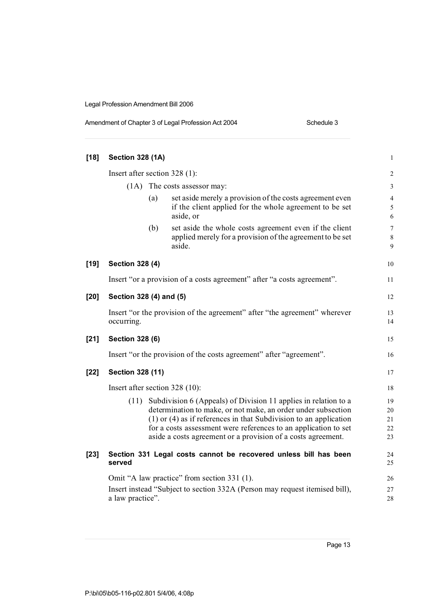| Amendment of Chapter 3 of Legal Profession Act 2004 |
|-----------------------------------------------------|
|-----------------------------------------------------|

**[18] Section 328 (1A)** 1 Insert after section 328 (1): 2 (1A) The costs assessor may: 3 (a) set aside merely a provision of the costs agreement even 4 if the client applied for the whole agreement to be set  $5$ aside, or 6 (b) set aside the whole costs agreement even if the client 7 applied merely for a provision of the agreement to be set 8 aside. 9 **[19] Section 328 (4)** 10 Insert "or a provision of a costs agreement" after "a costs agreement". **[20] Section 328 (4) and (5)** 12 Insert "or the provision of the agreement" after "the agreement" wherever 13 occurring. 14 **[21] Section 328 (6)** 15 Insert "or the provision of the costs agreement" after "agreement". 16 **[22] Section 328 (11)** 17 Insert after section 328 (10): 18 (11) Subdivision 6 (Appeals) of Division 11 applies in relation to a 19 determination to make, or not make, an order under subsection 20 (1) or (4) as if references in that Subdivision to an application 21 for a costs assessment were references to an application to set 22 aside a costs agreement or a provision of a costs agreement. 23 **[23] Section 331 Legal costs cannot be recovered unless bill has been** 24 **served** 25 Omit "A law practice" from section 331 (1). 26 Insert instead "Subject to section 332A (Person may request itemised bill), 27 a law practice". 28

Schedule 3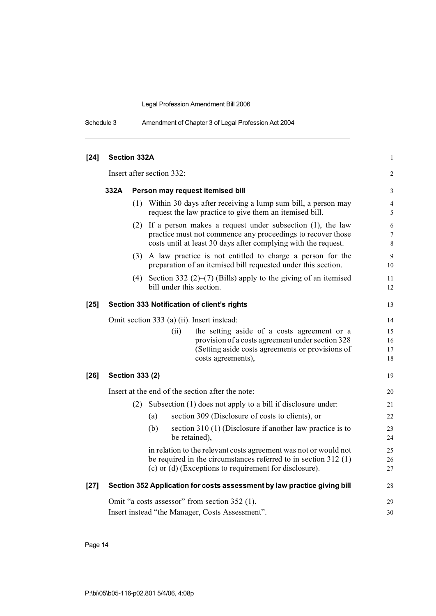| Schedule 3 | Amendment of Chapter 3 of Legal Profession Act 2004 |
|------------|-----------------------------------------------------|
|------------|-----------------------------------------------------|

| $[24]$ | Section 332A    |     |                                                                                                                                                                                                     | $\mathbf{1}$                        |
|--------|-----------------|-----|-----------------------------------------------------------------------------------------------------------------------------------------------------------------------------------------------------|-------------------------------------|
|        |                 |     | Insert after section 332:                                                                                                                                                                           | 2                                   |
|        | 332A            |     | Person may request itemised bill                                                                                                                                                                    | 3                                   |
|        |                 |     | (1) Within 30 days after receiving a lump sum bill, a person may<br>request the law practice to give them an itemised bill.                                                                         | $\overline{4}$<br>5                 |
|        |                 |     | $(2)$ If a person makes a request under subsection $(1)$ , the law<br>practice must not commence any proceedings to recover those<br>costs until at least 30 days after complying with the request. | $\sqrt{6}$<br>$\boldsymbol{7}$<br>8 |
|        |                 |     | (3) A law practice is not entitled to charge a person for the<br>preparation of an itemised bill requested under this section.                                                                      | $\mathbf{9}$<br>10                  |
|        |                 | (4) | Section 332 $(2)$ – $(7)$ (Bills) apply to the giving of an itemised<br>bill under this section.                                                                                                    | 11<br>12                            |
| $[25]$ |                 |     | Section 333 Notification of client's rights                                                                                                                                                         | 13                                  |
|        |                 |     | Omit section 333 (a) (ii). Insert instead:                                                                                                                                                          | 14                                  |
|        |                 |     | the setting aside of a costs agreement or a<br>(ii)                                                                                                                                                 | 15                                  |
|        |                 |     | provision of a costs agreement under section 328                                                                                                                                                    | 16                                  |
|        |                 |     | (Setting aside costs agreements or provisions of                                                                                                                                                    | 17                                  |
|        |                 |     | costs agreements),                                                                                                                                                                                  | 18                                  |
| $[26]$ | Section 333 (2) |     |                                                                                                                                                                                                     | 19                                  |
|        |                 |     | Insert at the end of the section after the note:                                                                                                                                                    | 20                                  |
|        |                 | (2) | Subsection (1) does not apply to a bill if disclosure under:                                                                                                                                        | 21                                  |
|        |                 |     | section 309 (Disclosure of costs to clients), or<br>(a)                                                                                                                                             | 22                                  |
|        |                 |     | (b)<br>section $310(1)$ (Disclosure if another law practice is to                                                                                                                                   | 23                                  |
|        |                 |     | be retained),                                                                                                                                                                                       | 24                                  |
|        |                 |     | in relation to the relevant costs agreement was not or would not                                                                                                                                    | 25                                  |
|        |                 |     | be required in the circumstances referred to in section $312(1)$                                                                                                                                    | 26                                  |
|        |                 |     | (c) or (d) (Exceptions to requirement for disclosure).                                                                                                                                              | 27                                  |
| $[27]$ |                 |     | Section 352 Application for costs assessment by law practice giving bill                                                                                                                            | 28                                  |
|        |                 |     | Omit "a costs assessor" from section 352 (1).                                                                                                                                                       | 29                                  |
|        |                 |     | Insert instead "the Manager, Costs Assessment".                                                                                                                                                     | 30                                  |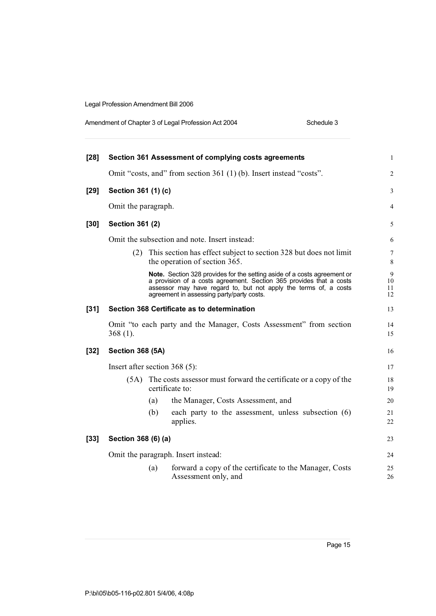| Amendment of Chapter 3 of Legal Profession Act 2004 | Schedule 3 |
|-----------------------------------------------------|------------|
|-----------------------------------------------------|------------|

| $[28]$ |                                 |     | Section 361 Assessment of complying costs agreements                                                                                                                                                                                                                    | $\mathbf{1}$        |
|--------|---------------------------------|-----|-------------------------------------------------------------------------------------------------------------------------------------------------------------------------------------------------------------------------------------------------------------------------|---------------------|
|        |                                 |     | Omit "costs, and" from section 361 (1) (b). Insert instead "costs".                                                                                                                                                                                                     | $\overline{c}$      |
| $[29]$ | Section 361 (1) (c)             |     |                                                                                                                                                                                                                                                                         | 3                   |
|        | Omit the paragraph.             |     |                                                                                                                                                                                                                                                                         | 4                   |
| $[30]$ | <b>Section 361 (2)</b>          |     |                                                                                                                                                                                                                                                                         | 5                   |
|        |                                 |     | Omit the subsection and note. Insert instead:                                                                                                                                                                                                                           | 6                   |
|        | (2)                             |     | This section has effect subject to section 328 but does not limit<br>the operation of section 365.                                                                                                                                                                      | 7<br>$\,$ 8 $\,$    |
|        |                                 |     | <b>Note.</b> Section 328 provides for the setting aside of a costs agreement or<br>a provision of a costs agreement. Section 365 provides that a costs<br>assessor may have regard to, but not apply the terms of, a costs<br>agreement in assessing party/party costs. | 9<br>10<br>11<br>12 |
| $[31]$ |                                 |     | Section 368 Certificate as to determination                                                                                                                                                                                                                             | 13                  |
|        | $368(1)$ .                      |     | Omit "to each party and the Manager, Costs Assessment" from section                                                                                                                                                                                                     | 14<br>15            |
| $[32]$ | <b>Section 368 (5A)</b>         |     |                                                                                                                                                                                                                                                                         | 16                  |
|        | Insert after section $368(5)$ : |     |                                                                                                                                                                                                                                                                         | 17                  |
|        |                                 |     | (5A) The costs assessor must forward the certificate or a copy of the<br>certificate to:                                                                                                                                                                                | 18<br>19            |
|        |                                 | (a) | the Manager, Costs Assessment, and                                                                                                                                                                                                                                      | 20                  |
|        |                                 | (b) | each party to the assessment, unless subsection (6)<br>applies.                                                                                                                                                                                                         | 21<br>22            |
| $[33]$ | Section 368 (6) (a)             |     |                                                                                                                                                                                                                                                                         | 23                  |
|        |                                 |     | Omit the paragraph. Insert instead:                                                                                                                                                                                                                                     | 24                  |
|        |                                 | (a) | forward a copy of the certificate to the Manager, Costs<br>Assessment only, and                                                                                                                                                                                         | 25<br>26            |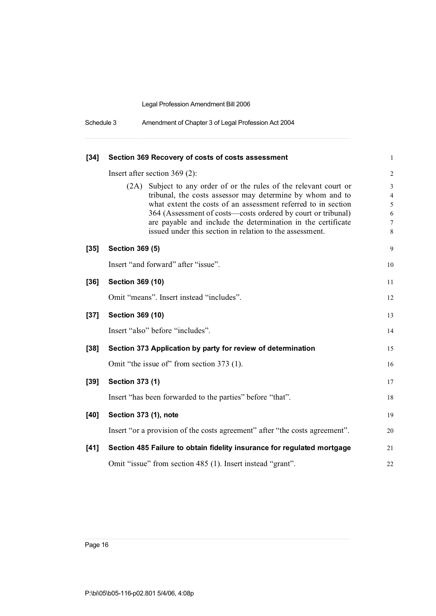| Schedule 3 | Amendment of Chapter 3 of Legal Profession Act 2004 |  |
|------------|-----------------------------------------------------|--|
|------------|-----------------------------------------------------|--|

| $[34]$ | Section 369 Recovery of costs of costs assessment                                                                                                                                                                                                                                                                                                                                            | $\mathbf{1}$               |
|--------|----------------------------------------------------------------------------------------------------------------------------------------------------------------------------------------------------------------------------------------------------------------------------------------------------------------------------------------------------------------------------------------------|----------------------------|
|        | Insert after section $369(2)$ :                                                                                                                                                                                                                                                                                                                                                              | $\overline{c}$             |
|        | (2A) Subject to any order of or the rules of the relevant court or<br>tribunal, the costs assessor may determine by whom and to<br>what extent the costs of an assessment referred to in section<br>364 (Assessment of costs—costs ordered by court or tribunal)<br>are payable and include the determination in the certificate<br>issued under this section in relation to the assessment. | 3<br>4<br>5<br>6<br>7<br>8 |
| $[35]$ | <b>Section 369 (5)</b>                                                                                                                                                                                                                                                                                                                                                                       | 9                          |
|        | Insert "and forward" after "issue".                                                                                                                                                                                                                                                                                                                                                          | 10                         |
| [36]   | Section 369 (10)                                                                                                                                                                                                                                                                                                                                                                             | 11                         |
|        | Omit "means". Insert instead "includes".                                                                                                                                                                                                                                                                                                                                                     | 12                         |
| $[37]$ | Section 369 (10)                                                                                                                                                                                                                                                                                                                                                                             | 13                         |
|        | Insert "also" before "includes".                                                                                                                                                                                                                                                                                                                                                             | 14                         |
| $[38]$ | Section 373 Application by party for review of determination                                                                                                                                                                                                                                                                                                                                 | 15                         |
|        | Omit "the issue of" from section 373 (1).                                                                                                                                                                                                                                                                                                                                                    | 16                         |
| $[39]$ | <b>Section 373 (1)</b>                                                                                                                                                                                                                                                                                                                                                                       | 17                         |
|        | Insert "has been forwarded to the parties" before "that".                                                                                                                                                                                                                                                                                                                                    | 18                         |
| $[40]$ | Section 373 (1), note                                                                                                                                                                                                                                                                                                                                                                        | 19                         |
|        | Insert "or a provision of the costs agreement" after "the costs agreement".                                                                                                                                                                                                                                                                                                                  | 20                         |
| [41]   | Section 485 Failure to obtain fidelity insurance for regulated mortgage                                                                                                                                                                                                                                                                                                                      | 21                         |
|        | Omit "issue" from section 485 (1). Insert instead "grant".                                                                                                                                                                                                                                                                                                                                   | 22                         |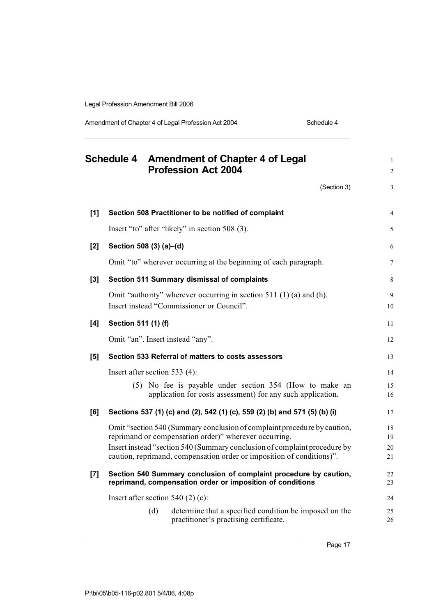Amendment of Chapter 4 of Legal Profession Act 2004 Schedule 4

|       |                               |     | Schedule 4 Amendment of Chapter 4 of Legal<br><b>Profession Act 2004</b>                                                                           | $\mathbf{1}$<br>$\overline{c}$ |
|-------|-------------------------------|-----|----------------------------------------------------------------------------------------------------------------------------------------------------|--------------------------------|
|       |                               |     | (Section 3)                                                                                                                                        | 3                              |
| $[1]$ |                               |     | Section 508 Practitioner to be notified of complaint                                                                                               | $\overline{4}$                 |
|       |                               |     | Insert "to" after "likely" in section 508 (3).                                                                                                     | 5                              |
| [2]   | Section 508 (3) (a)-(d)       |     |                                                                                                                                                    | 6                              |
|       |                               |     | Omit "to" wherever occurring at the beginning of each paragraph.                                                                                   | $\overline{7}$                 |
| $[3]$ |                               |     | Section 511 Summary dismissal of complaints                                                                                                        | 8                              |
|       |                               |     | Omit "authority" wherever occurring in section 511 (1) (a) and (h).<br>Insert instead "Commissioner or Council".                                   | 9<br>10                        |
| [4]   | Section 511 (1) (f)           |     |                                                                                                                                                    | 11                             |
|       |                               |     | Omit "an". Insert instead "any".                                                                                                                   | 12                             |
| [5]   |                               |     | Section 533 Referral of matters to costs assessors                                                                                                 | 13                             |
|       | Insert after section 533 (4): |     |                                                                                                                                                    | 14                             |
|       |                               |     | (5) No fee is payable under section 354 (How to make an<br>application for costs assessment) for any such application.                             | 15<br>16                       |
| [6]   |                               |     | Sections 537 (1) (c) and (2), 542 (1) (c), 559 (2) (b) and 571 (5) (b) (i)                                                                         | 17                             |
|       |                               |     | Omit "section 540 (Summary conclusion of complaint procedure by caution,<br>reprimand or compensation order)" wherever occurring.                  | 18<br>19                       |
|       |                               |     | Insert instead "section 540 (Summary conclusion of complaint procedure by<br>caution, reprimand, compensation order or imposition of conditions)". | 20<br>21                       |
| $[7]$ |                               |     | Section 540 Summary conclusion of complaint procedure by caution,<br>reprimand, compensation order or imposition of conditions                     | 22<br>23                       |
|       |                               |     | Insert after section $540(2)$ (c):                                                                                                                 | 24                             |
|       |                               | (d) | determine that a specified condition be imposed on the<br>practitioner's practising certificate.                                                   | 25<br>26                       |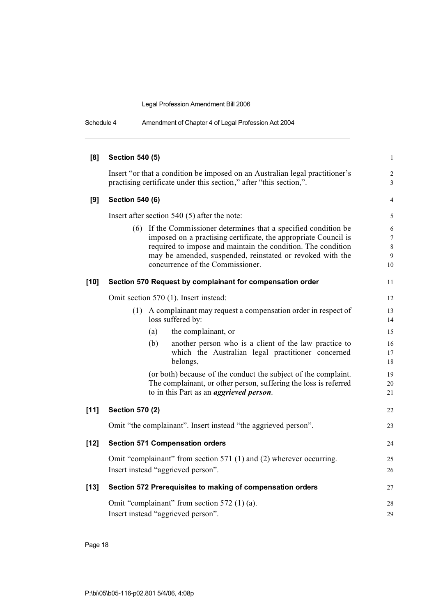| Schedule 4 | Amendment of Chapter 4 of Legal Profession Act 2004 |  |
|------------|-----------------------------------------------------|--|
|------------|-----------------------------------------------------|--|

| [8]    | <b>Section 540 (5)</b> |                                                                                                                                                                                                                                                                                                      | $\mathbf{1}$                          |
|--------|------------------------|------------------------------------------------------------------------------------------------------------------------------------------------------------------------------------------------------------------------------------------------------------------------------------------------------|---------------------------------------|
|        |                        | Insert "or that a condition be imposed on an Australian legal practitioner's<br>practising certificate under this section," after "this section,".                                                                                                                                                   | $\sqrt{2}$<br>3                       |
| [9]    | <b>Section 540 (6)</b> |                                                                                                                                                                                                                                                                                                      | 4                                     |
|        |                        | Insert after section $540(5)$ after the note:                                                                                                                                                                                                                                                        | 5                                     |
|        |                        | (6) If the Commissioner determines that a specified condition be<br>imposed on a practising certificate, the appropriate Council is<br>required to impose and maintain the condition. The condition<br>may be amended, suspended, reinstated or revoked with the<br>concurrence of the Commissioner. | 6<br>$\boldsymbol{7}$<br>8<br>9<br>10 |
| $[10]$ |                        | Section 570 Request by complainant for compensation order                                                                                                                                                                                                                                            | 11                                    |
|        |                        | Omit section 570 (1). Insert instead:                                                                                                                                                                                                                                                                | 12                                    |
|        |                        | (1) A complainant may request a compensation order in respect of<br>loss suffered by:                                                                                                                                                                                                                | 13<br>14                              |
|        | (a)                    | the complainant, or                                                                                                                                                                                                                                                                                  | 15                                    |
|        | (b)                    | another person who is a client of the law practice to<br>which the Australian legal practitioner concerned<br>belongs,                                                                                                                                                                               | 16<br>17<br>18                        |
|        |                        | (or both) because of the conduct the subject of the complaint.<br>The complainant, or other person, suffering the loss is referred<br>to in this Part as an <i>aggrieved person</i> .                                                                                                                | 19<br>20<br>21                        |
| $[11]$ | <b>Section 570 (2)</b> |                                                                                                                                                                                                                                                                                                      | 22                                    |
|        |                        | Omit "the complainant". Insert instead "the aggrieved person".                                                                                                                                                                                                                                       | 23                                    |
| $[12]$ |                        | <b>Section 571 Compensation orders</b>                                                                                                                                                                                                                                                               | 24                                    |
|        |                        | Omit "complainant" from section 571 (1) and (2) wherever occurring.<br>Insert instead "aggrieved person".                                                                                                                                                                                            | 25<br>26                              |
| $[13]$ |                        | Section 572 Prerequisites to making of compensation orders                                                                                                                                                                                                                                           | 27                                    |
|        |                        | Omit "complainant" from section 572 (1) (a).<br>Insert instead "aggrieved person".                                                                                                                                                                                                                   | 28<br>29                              |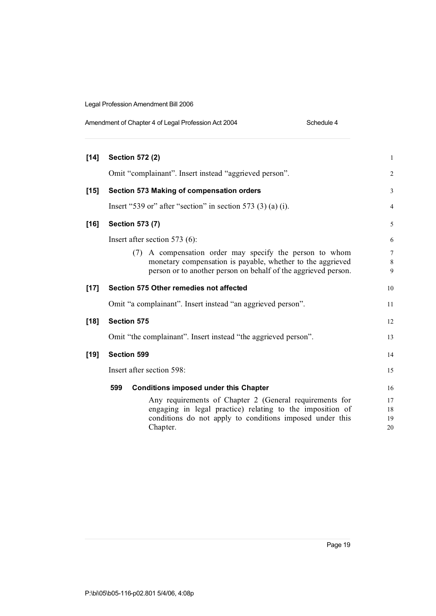| Amendment of Chapter 4 of Legal Profession Act 2004 | Schedule 4 |
|-----------------------------------------------------|------------|
|-----------------------------------------------------|------------|

| $[14]$ |                    | <b>Section 572 (2)</b>                                                                                                                                                                       | 1                    |
|--------|--------------------|----------------------------------------------------------------------------------------------------------------------------------------------------------------------------------------------|----------------------|
|        |                    | Omit "complainant". Insert instead "aggrieved person".                                                                                                                                       | 2                    |
| $[15]$ |                    | Section 573 Making of compensation orders                                                                                                                                                    | 3                    |
|        |                    | Insert "539 or" after "section" in section 573 $(3)$ (a) (i).                                                                                                                                | $\overline{4}$       |
| $[16]$ |                    | <b>Section 573 (7)</b>                                                                                                                                                                       | 5                    |
|        |                    | Insert after section 573 $(6)$ :                                                                                                                                                             | 6                    |
|        |                    | A compensation order may specify the person to whom<br>(7)<br>monetary compensation is payable, whether to the aggrieved<br>person or to another person on behalf of the aggrieved person.   | 7<br>8<br>9          |
| $[17]$ |                    | Section 575 Other remedies not affected                                                                                                                                                      | 10                   |
|        |                    | Omit "a complainant". Insert instead "an aggrieved person".                                                                                                                                  | 11                   |
| $[18]$ | <b>Section 575</b> |                                                                                                                                                                                              | 12                   |
|        |                    | Omit "the complainant". Insert instead "the aggrieved person".                                                                                                                               | 13                   |
| $[19]$ | <b>Section 599</b> |                                                                                                                                                                                              | 14                   |
|        |                    | Insert after section 598:                                                                                                                                                                    | 15                   |
|        | 599                | <b>Conditions imposed under this Chapter</b>                                                                                                                                                 | 16                   |
|        |                    | Any requirements of Chapter 2 (General requirements for<br>engaging in legal practice) relating to the imposition of<br>conditions do not apply to conditions imposed under this<br>Chapter. | 17<br>18<br>19<br>20 |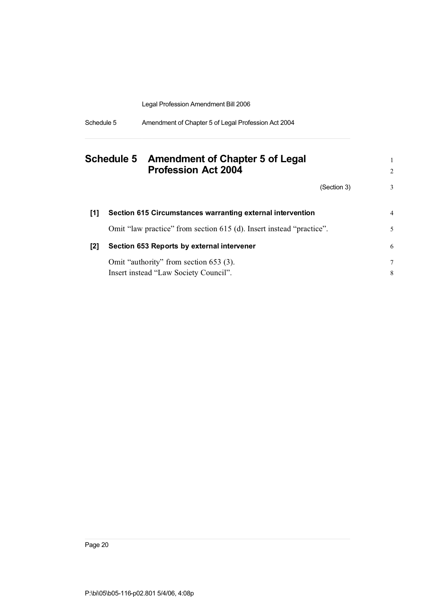| Schedule 5 | Amendment of Chapter 5 of Legal Profession Act 2004 |
|------------|-----------------------------------------------------|
|            |                                                     |

|     | Schedule 5 Amendment of Chapter 5 of Legal<br><b>Profession Act 2004</b> |             | 2  |
|-----|--------------------------------------------------------------------------|-------------|----|
|     |                                                                          | (Section 3) | 3  |
| [1] | Section 615 Circumstances warranting external intervention               |             | 4  |
|     | Omit "law practice" from section 615 (d). Insert instead "practice".     |             | 5. |
| [2] | Section 653 Reports by external intervener                               |             | 6  |
|     | Omit "authority" from section 653 (3).                                   |             | 7  |
|     | Insert instead "Law Society Council".                                    |             | 8  |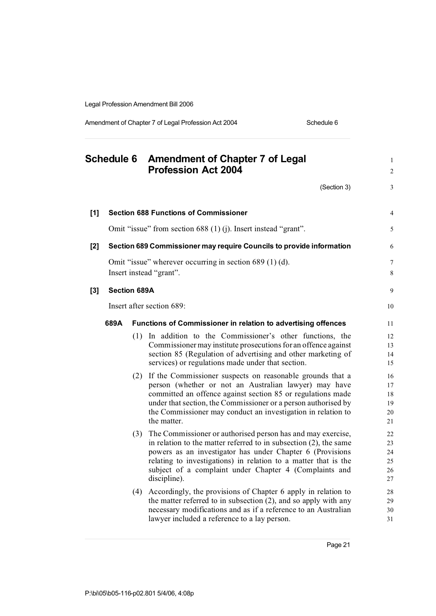Amendment of Chapter 7 of Legal Profession Act 2004 Schedule 6

|       | <b>Schedule 6</b>   |     | <b>Amendment of Chapter 7 of Legal</b><br><b>Profession Act 2004</b>                                                                                                                                                                                                                                                                          | $\mathbf{1}$<br>$\overline{c}$   |
|-------|---------------------|-----|-----------------------------------------------------------------------------------------------------------------------------------------------------------------------------------------------------------------------------------------------------------------------------------------------------------------------------------------------|----------------------------------|
|       |                     |     | (Section 3)                                                                                                                                                                                                                                                                                                                                   | 3                                |
| $[1]$ |                     |     | <b>Section 688 Functions of Commissioner</b>                                                                                                                                                                                                                                                                                                  | $\overline{4}$                   |
|       |                     |     | Omit "issue" from section 688 (1) (j). Insert instead "grant".                                                                                                                                                                                                                                                                                | 5                                |
| $[2]$ |                     |     | Section 689 Commissioner may require Councils to provide information                                                                                                                                                                                                                                                                          | 6                                |
|       |                     |     | Omit "issue" wherever occurring in section 689 (1) (d).<br>Insert instead "grant".                                                                                                                                                                                                                                                            | $\boldsymbol{7}$<br>8            |
| $[3]$ | <b>Section 689A</b> |     |                                                                                                                                                                                                                                                                                                                                               | 9                                |
|       |                     |     | Insert after section 689:                                                                                                                                                                                                                                                                                                                     | 10                               |
|       | 689A                |     | <b>Functions of Commissioner in relation to advertising offences</b>                                                                                                                                                                                                                                                                          | 11                               |
|       |                     |     | (1) In addition to the Commissioner's other functions, the<br>Commissioner may institute prosecutions for an offence against<br>section 85 (Regulation of advertising and other marketing of<br>services) or regulations made under that section.                                                                                             | 12<br>13<br>14<br>15             |
|       |                     |     | (2) If the Commissioner suspects on reasonable grounds that a<br>person (whether or not an Australian lawyer) may have<br>committed an offence against section 85 or regulations made<br>under that section, the Commissioner or a person authorised by<br>the Commissioner may conduct an investigation in relation to<br>the matter.        | 16<br>17<br>18<br>19<br>20<br>21 |
|       |                     | (3) | The Commissioner or authorised person has and may exercise,<br>in relation to the matter referred to in subsection $(2)$ , the same<br>powers as an investigator has under Chapter 6 (Provisions<br>relating to investigations) in relation to a matter that is the<br>subject of a complaint under Chapter 4 (Complaints and<br>discipline). | 22<br>23<br>24<br>25<br>26<br>27 |
|       |                     | (4) | Accordingly, the provisions of Chapter 6 apply in relation to<br>the matter referred to in subsection $(2)$ , and so apply with any<br>necessary modifications and as if a reference to an Australian<br>lawyer included a reference to a lay person.                                                                                         | 28<br>29<br>30<br>31             |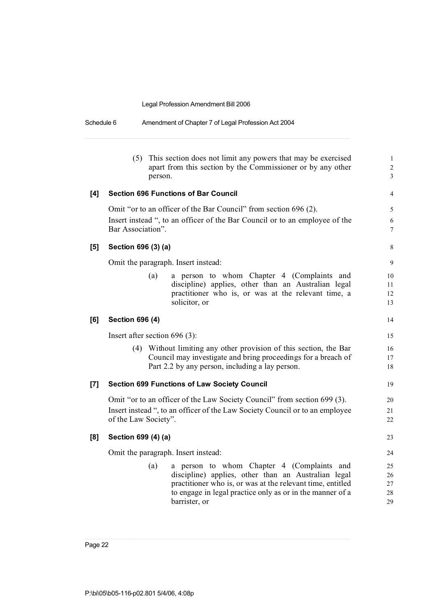| Schedule 6 | Amendment of Chapter 7 of Legal Profession Act 2004 |
|------------|-----------------------------------------------------|
|            |                                                     |

|     | (5)                             | person. | This section does not limit any powers that may be exercised<br>apart from this section by the Commissioner or by any other                                                                                                                   | $\mathbf{1}$<br>$\overline{c}$<br>3 |
|-----|---------------------------------|---------|-----------------------------------------------------------------------------------------------------------------------------------------------------------------------------------------------------------------------------------------------|-------------------------------------|
| [4] |                                 |         | <b>Section 696 Functions of Bar Council</b>                                                                                                                                                                                                   | 4                                   |
|     | Bar Association".               |         | Omit "or to an officer of the Bar Council" from section 696 (2).<br>Insert instead ", to an officer of the Bar Council or to an employee of the                                                                                               | 5<br>6<br>7                         |
| [5] | Section 696 (3) (a)             |         |                                                                                                                                                                                                                                               | 8                                   |
|     |                                 |         | Omit the paragraph. Insert instead:                                                                                                                                                                                                           | 9                                   |
|     |                                 | (a)     | a person to whom Chapter 4 (Complaints and<br>discipline) applies, other than an Australian legal<br>practitioner who is, or was at the relevant time, a<br>solicitor, or                                                                     | 10<br>11<br>12<br>13                |
| [6] | <b>Section 696 (4)</b>          |         |                                                                                                                                                                                                                                               | 14                                  |
|     | Insert after section $696(3)$ : |         |                                                                                                                                                                                                                                               | 15                                  |
|     |                                 |         | (4) Without limiting any other provision of this section, the Bar<br>Council may investigate and bring proceedings for a breach of<br>Part 2.2 by any person, including a lay person.                                                         | 16<br>17<br>18                      |
| [7] |                                 |         | <b>Section 699 Functions of Law Society Council</b>                                                                                                                                                                                           | 19                                  |
|     | of the Law Society".            |         | Omit "or to an officer of the Law Society Council" from section 699 (3).<br>Insert instead ", to an officer of the Law Society Council or to an employee                                                                                      | 20<br>21<br>22                      |
| [8] | Section 699 (4) (a)             |         |                                                                                                                                                                                                                                               | 23                                  |
|     |                                 |         | Omit the paragraph. Insert instead:                                                                                                                                                                                                           | 24                                  |
|     |                                 | (a)     | a person to whom Chapter 4 (Complaints and<br>discipline) applies, other than an Australian legal<br>practitioner who is, or was at the relevant time, entitled<br>to engage in legal practice only as or in the manner of a<br>barrister, or | 25<br>26<br>27<br>28<br>29          |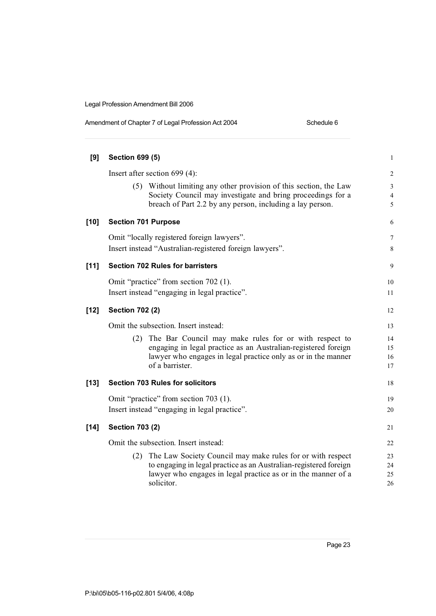| Amendment of Chapter 7 of Legal Profession Act 2004 | Schedule 6 |
|-----------------------------------------------------|------------|
|                                                     |            |

| [9]    | <b>Section 699 (5)</b>                                                                                                                                                                        | $\mathbf{1}$             |
|--------|-----------------------------------------------------------------------------------------------------------------------------------------------------------------------------------------------|--------------------------|
|        | Insert after section 699 (4):                                                                                                                                                                 | $\overline{c}$           |
|        | (5) Without limiting any other provision of this section, the Law<br>Society Council may investigate and bring proceedings for a<br>breach of Part 2.2 by any person, including a lay person. | 3<br>$\overline{4}$<br>5 |
| $[10]$ | <b>Section 701 Purpose</b>                                                                                                                                                                    | 6                        |
|        | Omit "locally registered foreign lawyers".                                                                                                                                                    | 7                        |
|        | Insert instead "Australian-registered foreign lawyers".                                                                                                                                       | $8\,$                    |
| [11]   | <b>Section 702 Rules for barristers</b>                                                                                                                                                       | 9                        |
|        | Omit "practice" from section 702 (1).                                                                                                                                                         | 10                       |
|        | Insert instead "engaging in legal practice".                                                                                                                                                  | 11                       |
| $[12]$ | <b>Section 702 (2)</b>                                                                                                                                                                        | 12                       |
|        | Omit the subsection. Insert instead:                                                                                                                                                          | 13                       |
|        | (2) The Bar Council may make rules for or with respect to                                                                                                                                     | 14                       |
|        | engaging in legal practice as an Australian-registered foreign<br>lawyer who engages in legal practice only as or in the manner                                                               | 15<br>16                 |
|        | of a barrister.                                                                                                                                                                               | 17                       |
| $[13]$ | <b>Section 703 Rules for solicitors</b>                                                                                                                                                       | 18                       |
|        | Omit "practice" from section 703 (1).                                                                                                                                                         | 19                       |
|        | Insert instead "engaging in legal practice".                                                                                                                                                  | 20                       |
| $[14]$ | <b>Section 703 (2)</b>                                                                                                                                                                        | 21                       |
|        | Omit the subsection. Insert instead:                                                                                                                                                          | 22                       |
|        | (2) The Law Society Council may make rules for or with respect                                                                                                                                | 23                       |
|        | to engaging in legal practice as an Australian-registered foreign                                                                                                                             | 24                       |
|        | lawyer who engages in legal practice as or in the manner of a<br>solicitor.                                                                                                                   | 25<br>26                 |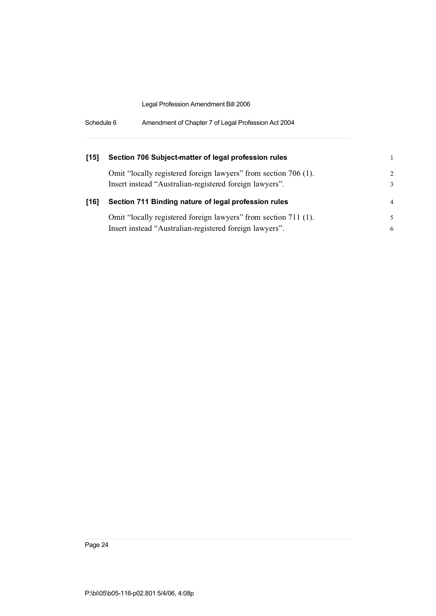| [15] | Section 706 Subject-matter of legal profession rules            |                |
|------|-----------------------------------------------------------------|----------------|
|      | Omit "locally registered foreign lawyers" from section 706 (1). | $\mathcal{D}$  |
|      | Insert instead "Australian-registered foreign lawyers".         | 3              |
|      |                                                                 |                |
| [16] | Section 711 Binding nature of legal profession rules            | $\overline{4}$ |
|      | Omit "locally registered foreign lawyers" from section 711 (1). |                |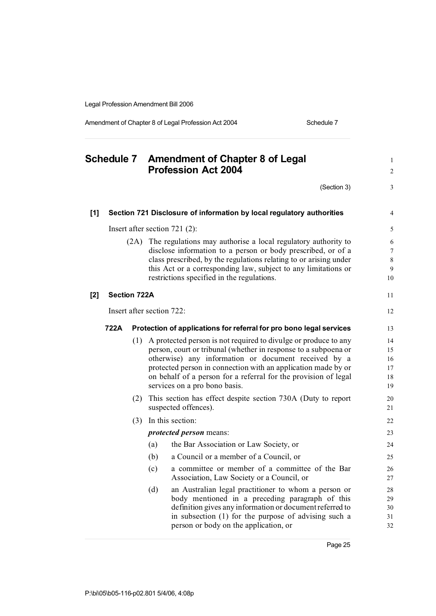Amendment of Chapter 8 of Legal Profession Act 2004 Schedule 7

| <b>Schedule 7</b> |                     |      | <b>Amendment of Chapter 8 of Legal</b><br><b>Profession Act 2004</b>                                                                                                                                                                                                                                                                                            | $\mathbf{1}$<br>$\overline{\mathbf{c}}$ |
|-------------------|---------------------|------|-----------------------------------------------------------------------------------------------------------------------------------------------------------------------------------------------------------------------------------------------------------------------------------------------------------------------------------------------------------------|-----------------------------------------|
|                   |                     |      | (Section 3)                                                                                                                                                                                                                                                                                                                                                     | 3                                       |
| [1]               |                     |      | Section 721 Disclosure of information by local regulatory authorities                                                                                                                                                                                                                                                                                           | $\overline{4}$                          |
|                   |                     |      | Insert after section $721$ (2):                                                                                                                                                                                                                                                                                                                                 | 5                                       |
|                   |                     | (2A) | The regulations may authorise a local regulatory authority to<br>disclose information to a person or body prescribed, or of a<br>class prescribed, by the regulations relating to or arising under<br>this Act or a corresponding law, subject to any limitations or<br>restrictions specified in the regulations.                                              | 6<br>7<br>8<br>9<br>10                  |
| [2]               | <b>Section 722A</b> |      |                                                                                                                                                                                                                                                                                                                                                                 | 11                                      |
|                   |                     |      | Insert after section 722:                                                                                                                                                                                                                                                                                                                                       | 12                                      |
|                   | 722A                |      | Protection of applications for referral for pro bono legal services                                                                                                                                                                                                                                                                                             | 13                                      |
|                   |                     | (1)  | A protected person is not required to divulge or produce to any<br>person, court or tribunal (whether in response to a subpoena or<br>otherwise) any information or document received by a<br>protected person in connection with an application made by or<br>on behalf of a person for a referral for the provision of legal<br>services on a pro bono basis. | 14<br>15<br>16<br>17<br>18<br>19        |
|                   |                     | (2)  | This section has effect despite section 730A (Duty to report<br>suspected offences).                                                                                                                                                                                                                                                                            | 20<br>21                                |
|                   |                     | (3)  | In this section:                                                                                                                                                                                                                                                                                                                                                | 22                                      |
|                   |                     |      | <i>protected person</i> means:                                                                                                                                                                                                                                                                                                                                  | 23                                      |
|                   |                     |      | (a)<br>the Bar Association or Law Society, or                                                                                                                                                                                                                                                                                                                   | 24                                      |
|                   |                     |      | (b)<br>a Council or a member of a Council, or                                                                                                                                                                                                                                                                                                                   | 25                                      |
|                   |                     |      | a committee or member of a committee of the Bar<br>(c)<br>Association, Law Society or a Council, or                                                                                                                                                                                                                                                             | 26<br>27                                |
|                   |                     |      | an Australian legal practitioner to whom a person or<br>(d)<br>body mentioned in a preceding paragraph of this<br>definition gives any information or document referred to<br>in subsection (1) for the purpose of advising such a<br>person or body on the application, or                                                                                     | 28<br>29<br>30<br>31<br>32              |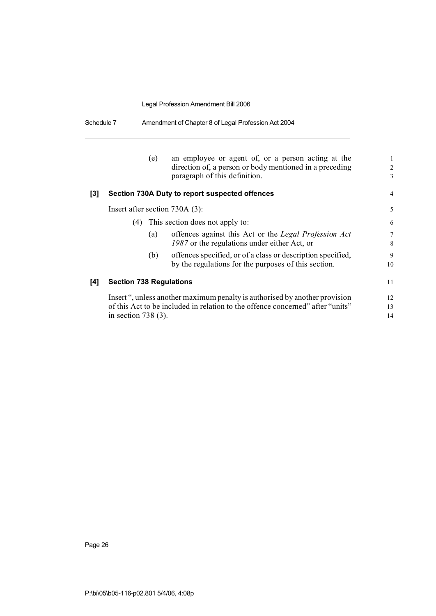| Schedule 7 | Amendment of Chapter 8 of Legal Profession Act 2004 |
|------------|-----------------------------------------------------|
|------------|-----------------------------------------------------|

|     |                                | (e) | an employee or agent of, or a person acting at the<br>direction of, a person or body mentioned in a preceding<br>paragraph of this definition.                | 1<br>$\overline{2}$<br>3 |
|-----|--------------------------------|-----|---------------------------------------------------------------------------------------------------------------------------------------------------------------|--------------------------|
| [3] |                                |     | Section 730A Duty to report suspected offences                                                                                                                | 4                        |
|     |                                |     | Insert after section $730A(3)$ :                                                                                                                              | 5                        |
|     |                                |     | (4) This section does not apply to:                                                                                                                           | 6                        |
|     |                                | (a) | offences against this Act or the Legal Profession Act<br>1987 or the regulations under either Act, or                                                         | $\overline{7}$<br>8      |
|     |                                | (b) | offences specified, or of a class or description specified,<br>by the regulations for the purposes of this section.                                           | 9<br>10                  |
| [4] | <b>Section 738 Regulations</b> |     |                                                                                                                                                               | 11                       |
|     | in section 738 $(3)$ .         |     | Insert ", unless another maximum penalty is authorised by another provision<br>of this Act to be included in relation to the offence concerned" after "units" | 12<br>13<br>14           |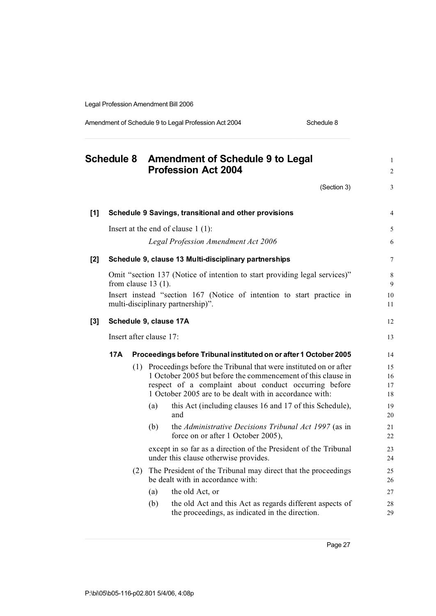Amendment of Schedule 9 to Legal Profession Act 2004 Schedule 8

|       | <b>Schedule 8</b> |     |                         | <b>Amendment of Schedule 9 to Legal</b><br><b>Profession Act 2004</b>                                                                                                                                                                                    | $\mathbf{1}$<br>$\overline{c}$ |
|-------|-------------------|-----|-------------------------|----------------------------------------------------------------------------------------------------------------------------------------------------------------------------------------------------------------------------------------------------------|--------------------------------|
|       |                   |     |                         | (Section 3)                                                                                                                                                                                                                                              | 3                              |
| $[1]$ |                   |     |                         | Schedule 9 Savings, transitional and other provisions                                                                                                                                                                                                    | $\overline{4}$                 |
|       |                   |     |                         | Insert at the end of clause $1(1)$ :                                                                                                                                                                                                                     | 5                              |
|       |                   |     |                         | <b>Legal Profession Amendment Act 2006</b>                                                                                                                                                                                                               | 6                              |
| $[2]$ |                   |     |                         | Schedule 9, clause 13 Multi-disciplinary partnerships                                                                                                                                                                                                    | $\overline{7}$                 |
|       |                   |     | from clause $13(1)$ .   | Omit "section 137 (Notice of intention to start providing legal services)"<br>Insert instead "section 167 (Notice of intention to start practice in                                                                                                      | 8<br>9<br>10                   |
|       |                   |     |                         | multi-disciplinary partnership)".                                                                                                                                                                                                                        | 11                             |
| $[3]$ |                   |     |                         | Schedule 9, clause 17A                                                                                                                                                                                                                                   | 12                             |
|       |                   |     | Insert after clause 17: |                                                                                                                                                                                                                                                          | 13                             |
|       | 17A               |     |                         | Proceedings before Tribunal instituted on or after 1 October 2005                                                                                                                                                                                        | 14                             |
|       |                   |     |                         | (1) Proceedings before the Tribunal that were instituted on or after<br>1 October 2005 but before the commencement of this clause in<br>respect of a complaint about conduct occurring before<br>1 October 2005 are to be dealt with in accordance with: | 15<br>16<br>17<br>18           |
|       |                   |     | (a)                     | this Act (including clauses 16 and 17 of this Schedule),<br>and                                                                                                                                                                                          | 19<br>20                       |
|       |                   |     | (b)                     | the Administrative Decisions Tribunal Act 1997 (as in<br>force on or after 1 October 2005),                                                                                                                                                              | 21<br>22                       |
|       |                   |     |                         | except in so far as a direction of the President of the Tribunal<br>under this clause otherwise provides.                                                                                                                                                | 23<br>24                       |
|       |                   | (2) |                         | The President of the Tribunal may direct that the proceedings<br>be dealt with in accordance with:                                                                                                                                                       | 25<br>26                       |
|       |                   |     | (a)                     | the old Act, or                                                                                                                                                                                                                                          | 27                             |
|       |                   |     | (b)                     | the old Act and this Act as regards different aspects of<br>the proceedings, as indicated in the direction.                                                                                                                                              | 28<br>29                       |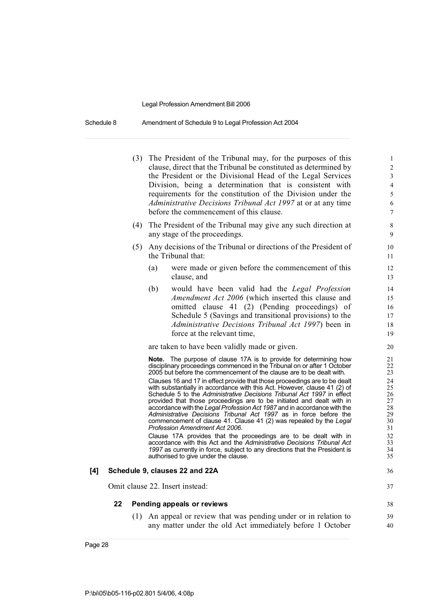Schedule 8 Amendment of Schedule 9 to Legal Profession Act 2004

- (3) The President of the Tribunal may, for the purposes of this 1 clause, direct that the Tribunal be constituted as determined by 2 the President or the Divisional Head of the Legal Services 3 Division, being a determination that is consistent with 4 requirements for the constitution of the Division under the 5 *Administrative Decisions Tribunal Act 1997* at or at any time 6 before the commencement of this clause. 7
- (4) The President of the Tribunal may give any such direction at 8 any stage of the proceedings.
- (5) Any decisions of the Tribunal or directions of the President of 10 the Tribunal that: 11
	- (a) were made or given before the commencement of this 12 clause, and 13
	- (b) would have been valid had the *Legal Profession* 14 *Amendment Act* 2006 (which inserted this clause and 15 omitted clause 41 (2) (Pending proceedings) of 16 Schedule 5 (Savings and transitional provisions) to the 17 *Administrative Decisions Tribunal Act 1997*) been in 18 force at the relevant time, 19

are taken to have been validly made or given. 20

**Note.** The purpose of clause 17A is to provide for determining how 21<br>disciplinary proceedings commenced in the Tribunal on or after 1 October 22 disciplinary proceedings commenced in the Tribunal on or after 1 October 2005<br>22 2005 but before the commencement of the clause are to be dealt with. 2005 but before the commencement of the clause are to be dealt with.

Clauses 16 and 17 in effect provide that those proceedings are to be dealt 24<br>with substantially in accordance with this Act. However, clause 41 (2) of 25 with substantially in accordance with this Act. However, clause 41 (2) of 25<br>Schedule 5 to the Administrative Decisions Tribunal Act 1997 in effect 26 Schedule 5 to the *Administrative Decisions Tribunal Act 1997* in effect 26 provided that those proceedings are to be initiated and dealt with in  $27$ <br>accordance with the Legal Profession Act 1987 and in accordance with the  $28$ accordance with the *Legal Profession Act* 1987 and in accordance with the 28<br>Administrative Decisions Tribunal Act 1997 as in force before the 29 *Administrative Decisions Tribunal Act 1997* as in force before the 29 commencement of clause 41. Clause 41 (2) was repealed by the *Legal* 30<br>Profession Amendment Act 2006. **Profession Amendment Act 2006.** 31<br>Clause 17A provides that the proceedings are to be dealt with in 32

Clause 17A provides that the proceedings are to be dealt with in 32<br>accordance with this Act and the Administrative Decisions Tribunal Act 33 accordance with this Act and the *Administrative Decisions Tribunal Act* 33 *1997* as currently in force, subject to any directions that the President is  $34$  authorised to give under the clause. authorised to give under the clause.

#### **[4] Schedule 9, clauses 22 and 22A** 36

Omit clause 22. Insert instead: 37

#### **22 Pending appeals or reviews** 38

(1) An appeal or review that was pending under or in relation to 39 any matter under the old Act immediately before 1 October 40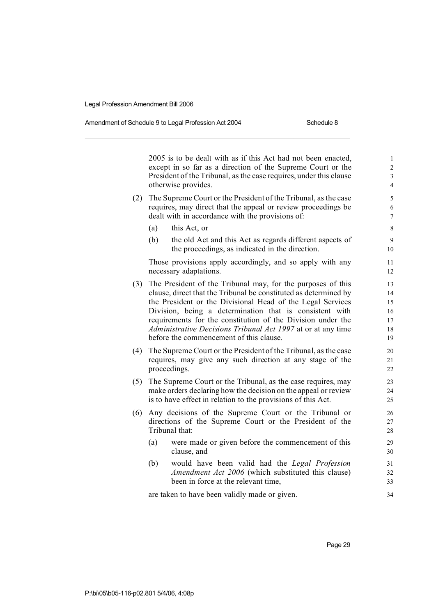#### Amendment of Schedule 9 to Legal Profession Act 2004 Schedule 8

2005 is to be dealt with as if this Act had not been enacted.  $\frac{1}{1}$ except in so far as a direction of the Supreme Court or the 2 President of the Tribunal, as the case requires, under this clause 3 otherwise provides. 4

- (2) The Supreme Court or the President of the Tribunal, as the case  $\frac{5}{5}$ requires, may direct that the appeal or review proceedings be 6 dealt with in accordance with the provisions of: 7
	- (a) this Act, or  $\qquad \qquad$  8
	- (b) the old Act and this Act as regards different aspects of 9 the proceedings, as indicated in the direction. 10

Those provisions apply accordingly, and so apply with any 11 necessary adaptations. 12

- (3) The President of the Tribunal may, for the purposes of this 13 clause, direct that the Tribunal be constituted as determined by 14 the President or the Divisional Head of the Legal Services 15 Division, being a determination that is consistent with 16 requirements for the constitution of the Division under the 17 *Administrative Decisions Tribunal Act 1997* at or at any time 18 before the commencement of this clause. 19
- (4) The Supreme Court or the President of the Tribunal, as the case 20 requires, may give any such direction at any stage of the 21 proceedings. 22
- (5) The Supreme Court or the Tribunal, as the case requires, may 23 make orders declaring how the decision on the appeal or review 24 is to have effect in relation to the provisions of this Act. 25
- (6) Any decisions of the Supreme Court or the Tribunal or 26 directions of the Supreme Court or the President of the 27 Tribunal that: 28
	- (a) were made or given before the commencement of this 29 clause, and 30
	- (b) would have been valid had the *Legal Profession* 31 *Amendment Act 2006* (which substituted this clause) 32 been in force at the relevant time, 33

are taken to have been validly made or given.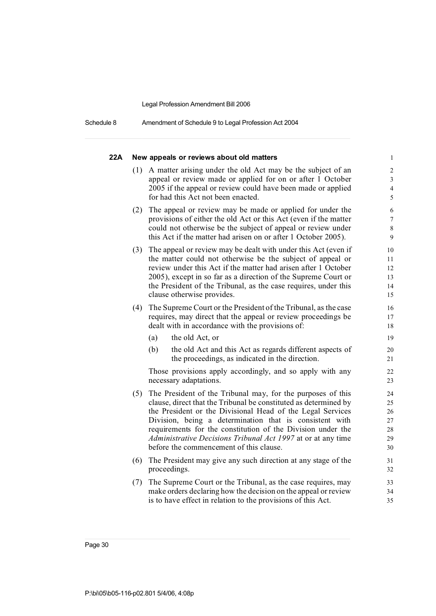Schedule 8 Amendment of Schedule 9 to Legal Profession Act 2004

| 22A |     | New appeals or reviews about old matters                                                                                                                                                  | $\mathbf{1}$                                       |
|-----|-----|-------------------------------------------------------------------------------------------------------------------------------------------------------------------------------------------|----------------------------------------------------|
|     | (1) | A matter arising under the old Act may be the subject of an<br>appeal or review made or applied for on or after 1 October<br>2005 if the appeal or review could have been made or applied | $\overline{2}$<br>$\mathfrak{Z}$<br>$\overline{4}$ |
|     |     | for had this Act not been enacted.                                                                                                                                                        | 5                                                  |
|     | (2) | The appeal or review may be made or applied for under the                                                                                                                                 | 6                                                  |
|     |     | provisions of either the old Act or this Act (even if the matter                                                                                                                          | $\boldsymbol{7}$                                   |
|     |     | could not otherwise be the subject of appeal or review under<br>this Act if the matter had arisen on or after 1 October 2005).                                                            | $8\,$<br>9                                         |
|     | (3) | The appeal or review may be dealt with under this Act (even if                                                                                                                            | 10                                                 |
|     |     | the matter could not otherwise be the subject of appeal or                                                                                                                                | 11                                                 |
|     |     | review under this Act if the matter had arisen after 1 October                                                                                                                            | 12                                                 |
|     |     | 2005), except in so far as a direction of the Supreme Court or                                                                                                                            | 13                                                 |
|     |     | the President of the Tribunal, as the case requires, under this<br>clause otherwise provides.                                                                                             | 14<br>15                                           |
|     |     |                                                                                                                                                                                           |                                                    |
|     | (4) | The Supreme Court or the President of the Tribunal, as the case                                                                                                                           | 16                                                 |
|     |     | requires, may direct that the appeal or review proceedings be<br>dealt with in accordance with the provisions of:                                                                         | 17<br>18                                           |
|     |     |                                                                                                                                                                                           |                                                    |
|     |     | (a)<br>the old Act, or                                                                                                                                                                    | 19                                                 |
|     |     | (b)<br>the old Act and this Act as regards different aspects of<br>the proceedings, as indicated in the direction.                                                                        | 20<br>21                                           |
|     |     | Those provisions apply accordingly, and so apply with any<br>necessary adaptations.                                                                                                       | 22<br>23                                           |
|     | (5) | The President of the Tribunal may, for the purposes of this                                                                                                                               | 24                                                 |
|     |     | clause, direct that the Tribunal be constituted as determined by                                                                                                                          | 25                                                 |
|     |     | the President or the Divisional Head of the Legal Services                                                                                                                                | 26                                                 |
|     |     | Division, being a determination that is consistent with                                                                                                                                   | 27                                                 |
|     |     | requirements for the constitution of the Division under the                                                                                                                               | 28                                                 |
|     |     | Administrative Decisions Tribunal Act 1997 at or at any time<br>before the commencement of this clause.                                                                                   | 29<br>30                                           |
|     | (6) | The President may give any such direction at any stage of the                                                                                                                             | 31                                                 |
|     |     | proceedings.                                                                                                                                                                              | 32                                                 |
|     | (7) | The Supreme Court or the Tribunal, as the case requires, may                                                                                                                              | 33                                                 |
|     |     | make orders declaring how the decision on the appeal or review                                                                                                                            | 34                                                 |
|     |     | is to have effect in relation to the provisions of this Act.                                                                                                                              | 35                                                 |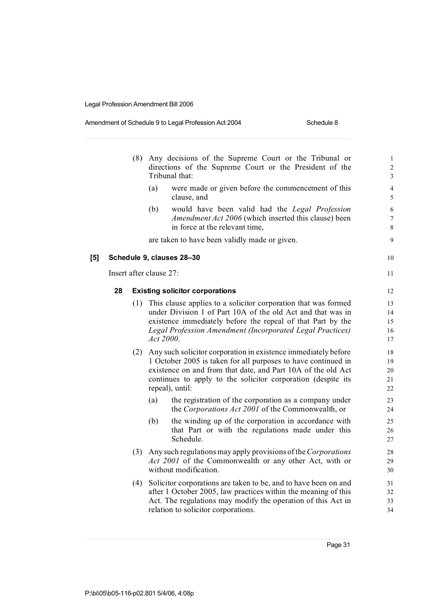### Amendment of Schedule 9 to Legal Profession Act 2004 Schedule 8

|     |    |     | (8) Any decisions of the Supreme Court or the Tribunal or<br>directions of the Supreme Court or the President of the<br>Tribunal that:                                                                                                                                                 | $\mathbf{1}$<br>$\overline{\mathbf{c}}$<br>3 |
|-----|----|-----|----------------------------------------------------------------------------------------------------------------------------------------------------------------------------------------------------------------------------------------------------------------------------------------|----------------------------------------------|
|     |    |     | (a)<br>were made or given before the commencement of this<br>clause, and                                                                                                                                                                                                               | $\overline{\mathcal{L}}$<br>5                |
|     |    |     | (b)<br>would have been valid had the Legal Profession<br>Amendment Act 2006 (which inserted this clause) been<br>in force at the relevant time,                                                                                                                                        | 6<br>7<br>8                                  |
|     |    |     | are taken to have been validly made or given.                                                                                                                                                                                                                                          | 9                                            |
| [5] |    |     | Schedule 9, clauses 28-30                                                                                                                                                                                                                                                              | 10                                           |
|     |    |     | Insert after clause 27:                                                                                                                                                                                                                                                                | 11                                           |
|     | 28 |     | <b>Existing solicitor corporations</b>                                                                                                                                                                                                                                                 | 12                                           |
|     |    | (1) | This clause applies to a solicitor corporation that was formed<br>under Division 1 of Part 10A of the old Act and that was in<br>existence immediately before the repeal of that Part by the<br>Legal Profession Amendment (Incorporated Legal Practices)<br>Act 2000.                 | 13<br>14<br>15<br>16<br>17                   |
|     |    |     | (2) Any such solicitor corporation in existence immediately before<br>1 October 2005 is taken for all purposes to have continued in<br>existence on and from that date, and Part 10A of the old Act<br>continues to apply to the solicitor corporation (despite its<br>repeal), until: | 18<br>19<br>20<br>21<br>22                   |
|     |    |     | the registration of the corporation as a company under<br>(a)<br>the Corporations Act 2001 of the Commonwealth, or                                                                                                                                                                     | 23<br>24                                     |
|     |    |     | (b)<br>the winding up of the corporation in accordance with<br>that Part or with the regulations made under this<br>Schedule.                                                                                                                                                          | 25<br>26<br>27                               |
|     |    |     | (3) Any such regulations may apply provisions of the Corporations<br>Act 2001 of the Commonwealth or any other Act, with or<br>without modification.                                                                                                                                   | 28<br>29<br>30                               |
|     |    | (4) | Solicitor corporations are taken to be, and to have been on and<br>after 1 October 2005, law practices within the meaning of this<br>Act. The regulations may modify the operation of this Act in<br>relation to solicitor corporations.                                               | 31<br>32<br>33<br>34                         |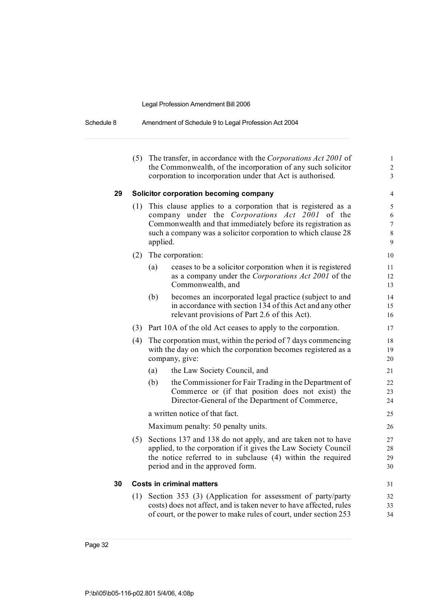| Schedule 8 | Amendment of Schedule 9 to Legal Profession Act 2004 |  |
|------------|------------------------------------------------------|--|
|------------|------------------------------------------------------|--|

|    | (5) |          | The transfer, in accordance with the Corporations Act 2001 of<br>the Commonwealth, of the incorporation of any such solicitor                                                                                                                   | $\mathbf{1}$<br>$\overline{c}$     |
|----|-----|----------|-------------------------------------------------------------------------------------------------------------------------------------------------------------------------------------------------------------------------------------------------|------------------------------------|
|    |     |          | corporation to incorporation under that Act is authorised.                                                                                                                                                                                      | 3                                  |
| 29 |     |          | Solicitor corporation becoming company                                                                                                                                                                                                          | 4                                  |
|    | (1) | applied. | This clause applies to a corporation that is registered as a<br>company under the Corporations Act 2001 of the<br>Commonwealth and that immediately before its registration as<br>such a company was a solicitor corporation to which clause 28 | 5<br>6<br>$\overline{7}$<br>8<br>9 |
|    | (2) |          | The corporation:                                                                                                                                                                                                                                | 10                                 |
|    |     | (a)      | ceases to be a solicitor corporation when it is registered<br>as a company under the Corporations Act 2001 of the<br>Commonwealth, and                                                                                                          | 11<br>12<br>13                     |
|    |     | (b)      | becomes an incorporated legal practice (subject to and<br>in accordance with section 134 of this Act and any other<br>relevant provisions of Part 2.6 of this Act).                                                                             | 14<br>15<br>16                     |
|    |     |          | (3) Part 10A of the old Act ceases to apply to the corporation.                                                                                                                                                                                 | 17                                 |
|    | (4) |          | The corporation must, within the period of 7 days commencing<br>with the day on which the corporation becomes registered as a<br>company, give:                                                                                                 | 18<br>19<br>20                     |
|    |     | (a)      | the Law Society Council, and                                                                                                                                                                                                                    | 21                                 |
|    |     | (b)      | the Commissioner for Fair Trading in the Department of<br>Commerce or (if that position does not exist) the<br>Director-General of the Department of Commerce,                                                                                  | 22<br>23<br>24                     |
|    |     |          | a written notice of that fact.                                                                                                                                                                                                                  | 25                                 |
|    |     |          | Maximum penalty: 50 penalty units.                                                                                                                                                                                                              | 26                                 |
|    | (5) |          | Sections 137 and 138 do not apply, and are taken not to have<br>applied, to the corporation if it gives the Law Society Council<br>the notice referred to in subclause (4) within the required<br>period and in the approved form.              | 27<br>28<br>29<br>30               |
| 30 |     |          | <b>Costs in criminal matters</b>                                                                                                                                                                                                                | 31                                 |
|    | (1) |          | Section 353 (3) (Application for assessment of party/party<br>costs) does not affect, and is taken never to have affected, rules<br>of court, or the power to make rules of court, under section 253                                            | 32<br>33<br>34                     |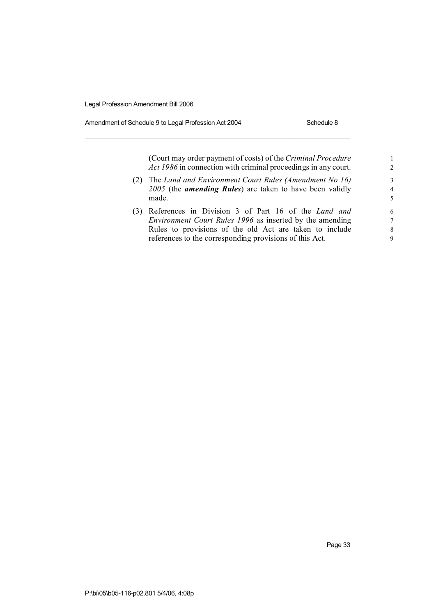### Amendment of Schedule 9 to Legal Profession Act 2004 Schedule 8

|     | (Court may order payment of costs) of the Criminal Procedure<br><i>Act 1986</i> in connection with criminal proceedings in any court.                                                                                                     | $\mathfrak{D}$           |
|-----|-------------------------------------------------------------------------------------------------------------------------------------------------------------------------------------------------------------------------------------------|--------------------------|
| (2) | The Land and Environment Court Rules (Amendment No 16)<br>$2005$ (the <i>amending Rules</i> ) are taken to have been validly<br>made.                                                                                                     | 3<br>$\overline{4}$<br>5 |
|     | (3) References in Division 3 of Part 16 of the Land and<br>Environment Court Rules 1996 as inserted by the amending<br>Rules to provisions of the old Act are taken to include<br>references to the corresponding provisions of this Act. | 6<br>7<br>8<br>9         |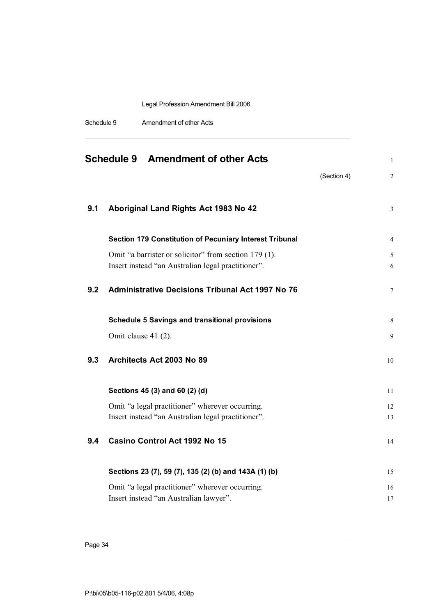| Schedule 9 | Amendment of other Acts |
|------------|-------------------------|
|------------|-------------------------|

|     | <b>Schedule 9 Amendment of other Acts</b>                                                                   | $\mathbf{1}$                  |
|-----|-------------------------------------------------------------------------------------------------------------|-------------------------------|
|     |                                                                                                             | (Section 4)<br>$\overline{2}$ |
| 9.1 | Aboriginal Land Rights Act 1983 No 42                                                                       | 3                             |
|     |                                                                                                             |                               |
|     | Section 179 Constitution of Pecuniary Interest Tribunal                                                     | 4                             |
|     | Omit "a barrister or solicitor" from section 179 (1).<br>Insert instead "an Australian legal practitioner". | 5<br>6                        |
| 9.2 | <b>Administrative Decisions Tribunal Act 1997 No 76</b>                                                     | $\tau$                        |
|     | <b>Schedule 5 Savings and transitional provisions</b>                                                       | 8                             |
|     | Omit clause 41 (2).                                                                                         | 9                             |
| 9.3 | Architects Act 2003 No 89                                                                                   | 10                            |
|     | Sections 45 (3) and 60 (2) (d)                                                                              | 11                            |
|     | Omit "a legal practitioner" wherever occurring.<br>Insert instead "an Australian legal practitioner".       | 12<br>13                      |
| 9.4 | Casino Control Act 1992 No 15                                                                               | 14                            |
|     |                                                                                                             |                               |
|     | Sections 23 (7), 59 (7), 135 (2) (b) and 143A (1) (b)                                                       | 15                            |
|     | Omit "a legal practitioner" wherever occurring.<br>Insert instead "an Australian lawyer".                   | 16<br>17                      |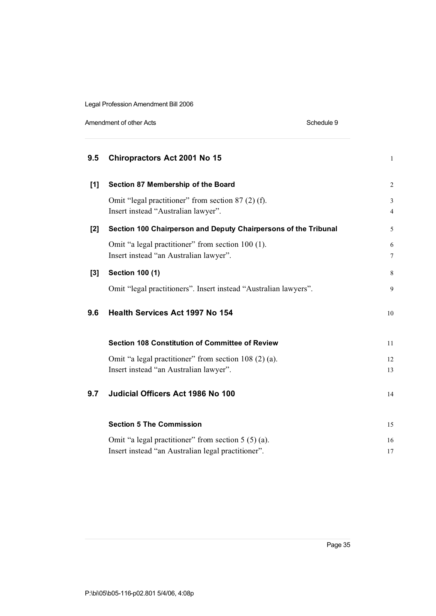Amendment of other Acts **Schedule 9** 

| 9.5   | <b>Chiropractors Act 2001 No 15</b>                                                         | $\mathbf{1}$        |
|-------|---------------------------------------------------------------------------------------------|---------------------|
| $[1]$ | Section 87 Membership of the Board                                                          | $\mathbf{2}$        |
|       | Omit "legal practitioner" from section 87 (2) (f).<br>Insert instead "Australian lawyer".   | 3<br>$\overline{4}$ |
| $[2]$ | Section 100 Chairperson and Deputy Chairpersons of the Tribunal                             | 5                   |
|       | Omit "a legal practitioner" from section 100 (1).<br>Insert instead "an Australian lawyer". | 6<br>7              |
| $[3]$ | <b>Section 100 (1)</b>                                                                      | 8                   |
|       | Omit "legal practitioners". Insert instead "Australian lawyers".                            | 9                   |
| 9.6   | <b>Health Services Act 1997 No 154</b>                                                      | 10                  |
|       | <b>Section 108 Constitution of Committee of Review</b>                                      | 11                  |
|       | Omit "a legal practitioner" from section 108 (2) (a).                                       | 12                  |
|       | Insert instead "an Australian lawyer".                                                      | 13                  |
| 9.7   | Judicial Officers Act 1986 No 100                                                           | 14                  |
|       | <b>Section 5 The Commission</b>                                                             | 15                  |
|       | Omit "a legal practitioner" from section $5(5)(a)$ .                                        | 16                  |
|       | Insert instead "an Australian legal practitioner".                                          | 17                  |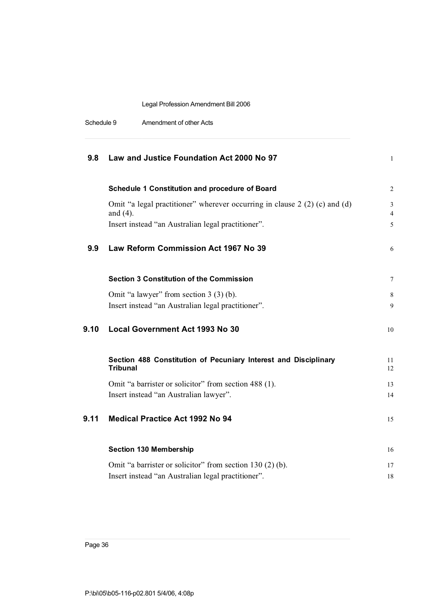| Schedule 9 | Amendment of other Acts |
|------------|-------------------------|
|------------|-------------------------|

| 9.8  | Law and Justice Foundation Act 2000 No 97                                                 | $\mathbf{1}$        |
|------|-------------------------------------------------------------------------------------------|---------------------|
|      | Schedule 1 Constitution and procedure of Board                                            | 2                   |
|      | Omit "a legal practitioner" wherever occurring in clause $2(2)(c)$ and (d)<br>and $(4)$ . | 3<br>$\overline{4}$ |
|      | Insert instead "an Australian legal practitioner".                                        | 5                   |
| 9.9  | Law Reform Commission Act 1967 No 39                                                      | 6                   |
|      | <b>Section 3 Constitution of the Commission</b>                                           | $\tau$              |
|      | Omit "a lawyer" from section 3 (3) (b).                                                   | 8                   |
|      | Insert instead "an Australian legal practitioner".                                        | 9                   |
| 9.10 | <b>Local Government Act 1993 No 30</b>                                                    | 10                  |
|      | Section 488 Constitution of Pecuniary Interest and Disciplinary<br><b>Tribunal</b>        | 11<br>12            |
|      | Omit "a barrister or solicitor" from section 488 (1).                                     | 13                  |
|      | Insert instead "an Australian lawyer".                                                    | 14                  |
| 9.11 | <b>Medical Practice Act 1992 No 94</b>                                                    | 15                  |
|      | <b>Section 130 Membership</b>                                                             | 16                  |
|      | Omit "a barrister or solicitor" from section 130 (2) (b).                                 | 17                  |
|      | Insert instead "an Australian legal practitioner".                                        | 18                  |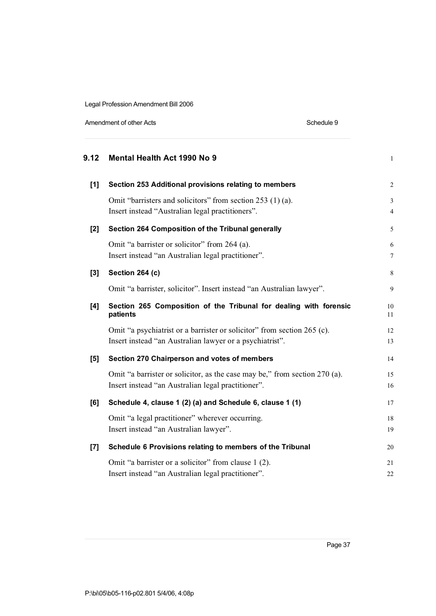Amendment of other Acts **Schedule 9** 

| 9.12  | Mental Health Act 1990 No 9                                                                                                         | $\mathbf{1}$   |
|-------|-------------------------------------------------------------------------------------------------------------------------------------|----------------|
| $[1]$ | Section 253 Additional provisions relating to members                                                                               | $\overline{c}$ |
|       | Omit "barristers and solicitors" from section 253 (1) (a).                                                                          | 3              |
|       | Insert instead "Australian legal practitioners".                                                                                    | $\overline{4}$ |
| [2]   | Section 264 Composition of the Tribunal generally                                                                                   | 5              |
|       | Omit "a barrister or solicitor" from 264 (a).                                                                                       | 6              |
|       | Insert instead "an Australian legal practitioner".                                                                                  | $\overline{7}$ |
| $[3]$ | Section 264 (c)                                                                                                                     | 8              |
|       | Omit "a barrister, solicitor". Insert instead "an Australian lawyer".                                                               | 9              |
| [4]   | Section 265 Composition of the Tribunal for dealing with forensic<br>patients                                                       | 10<br>11       |
|       | Omit "a psychiatrist or a barrister or solicitor" from section 265 (c).<br>Insert instead "an Australian lawyer or a psychiatrist". | 12<br>13       |
| [5]   | Section 270 Chairperson and votes of members                                                                                        | 14             |
|       | Omit "a barrister or solicitor, as the case may be," from section 270 (a).                                                          | 15             |
|       | Insert instead "an Australian legal practitioner".                                                                                  | 16             |
| [6]   | Schedule 4, clause 1 (2) (a) and Schedule 6, clause 1 (1)                                                                           | 17             |
|       | Omit "a legal practitioner" wherever occurring.                                                                                     | 18             |
|       | Insert instead "an Australian lawyer".                                                                                              | 19             |
| [7]   | Schedule 6 Provisions relating to members of the Tribunal                                                                           | 20             |
|       | Omit "a barrister or a solicitor" from clause 1 (2).                                                                                | 21             |
|       | Insert instead "an Australian legal practitioner".                                                                                  | 22             |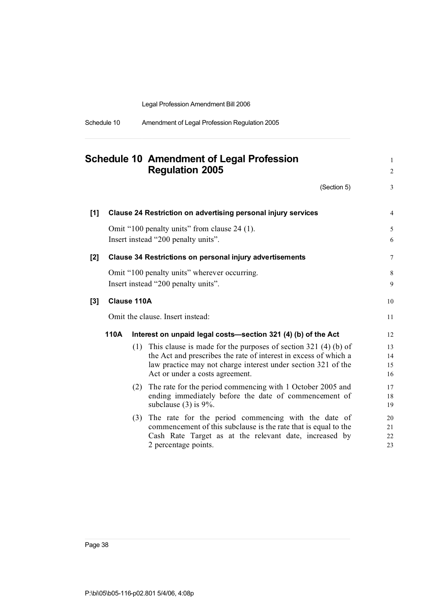| Amendment of Legal Profession Regulation 2005 |
|-----------------------------------------------|
|                                               |

|       |      | <b>Schedule 10 Amendment of Legal Profession</b><br><b>Regulation 2005</b>                                                                                                                                                                   | $\mathbf{1}$<br>2    |
|-------|------|----------------------------------------------------------------------------------------------------------------------------------------------------------------------------------------------------------------------------------------------|----------------------|
|       |      | (Section 5)                                                                                                                                                                                                                                  | 3                    |
| $[1]$ |      | <b>Clause 24 Restriction on advertising personal injury services</b>                                                                                                                                                                         | $\overline{4}$       |
|       |      | Omit "100 penalty units" from clause 24 (1).<br>Insert instead "200 penalty units".                                                                                                                                                          | 5<br>6               |
| $[2]$ |      | <b>Clause 34 Restrictions on personal injury advertisements</b>                                                                                                                                                                              | 7                    |
|       |      | Omit "100 penalty units" wherever occurring.<br>Insert instead "200 penalty units".                                                                                                                                                          | 8<br>9               |
| $[3]$ |      | <b>Clause 110A</b>                                                                                                                                                                                                                           | 10                   |
|       |      | Omit the clause. Insert instead:                                                                                                                                                                                                             | 11                   |
|       | 110A | Interest on unpaid legal costs—section 321 (4) (b) of the Act                                                                                                                                                                                | 12                   |
|       |      | (1) This clause is made for the purposes of section $321$ (4) (b) of<br>the Act and prescribes the rate of interest in excess of which a<br>law practice may not charge interest under section 321 of the<br>Act or under a costs agreement. | 13<br>14<br>15<br>16 |
|       |      | (2) The rate for the period commencing with 1 October 2005 and<br>ending immediately before the date of commencement of<br>subclause $(3)$ is 9%.                                                                                            | 17<br>18<br>19       |
|       |      | The rate for the period commencing with the date of<br>(3)<br>commencement of this subclause is the rate that is equal to the<br>Cash Rate Target as at the relevant date, increased by<br>2 percentage points.                              | 20<br>21<br>22<br>23 |